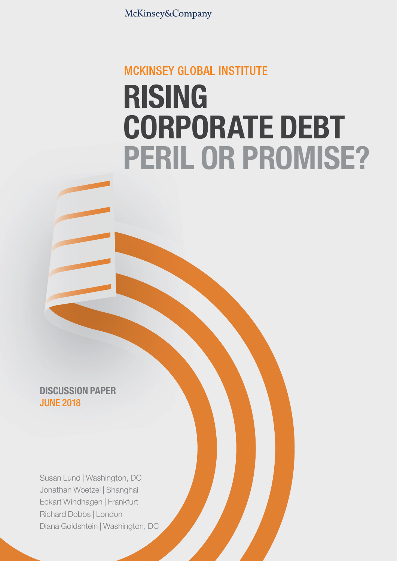McKinsey&Company

# **MCKINSEY GLOBAL INSTITUTE** RISING CORPORATE DEBT PERIL OR PROMISE?

DISCUSSION PAPER JUNE 2018

Susan Lund | Washington, DC Jonathan Woetzel | Shanghai Eckart Windhagen | Frankfurt Richard Dobbs | London Diana Goldshtein | Washington, DC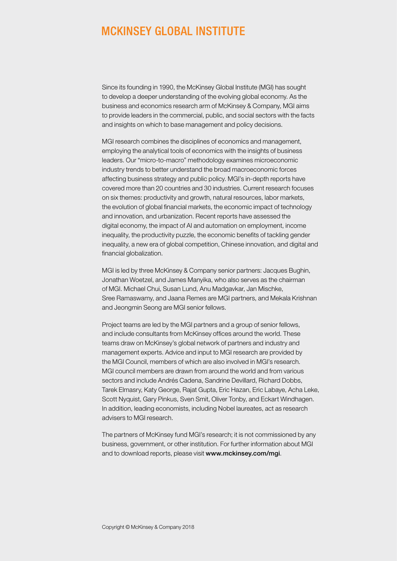### **MCKINSEY GLOBAL INSTITUTE**

Since its founding in 1990, the McKinsey Global Institute (MGI) has sought to develop a deeper understanding of the evolving global economy. As the business and economics research arm of McKinsey & Company, MGI aims to provide leaders in the commercial, public, and social sectors with the facts and insights on which to base management and policy decisions.

MGI research combines the disciplines of economics and management, employing the analytical tools of economics with the insights of business leaders. Our "micro-to-macro" methodology examines microeconomic industry trends to better understand the broad macroeconomic forces affecting business strategy and public policy. MGI's in-depth reports have covered more than 20 countries and 30 industries. Current research focuses on six themes: productivity and growth, natural resources, labor markets, the evolution of global financial markets, the economic impact of technology and innovation, and urbanization. Recent reports have assessed the digital economy, the impact of AI and automation on employment, income inequality, the productivity puzzle, the economic benefits of tackling gender inequality, a new era of global competition, Chinese innovation, and digital and financial globalization.

MGI is led by three McKinsey & Company senior partners: Jacques Bughin, Jonathan Woetzel, and James Manyika, who also serves as the chairman of MGI. Michael Chui, Susan Lund, Anu Madgavkar, Jan Mischke, Sree Ramaswamy, and Jaana Remes are MGI partners, and Mekala Krishnan and Jeongmin Seong are MGI senior fellows.

Project teams are led by the MGI partners and a group of senior fellows, and include consultants from McKinsey offices around the world. These teams draw on McKinsey's global network of partners and industry and management experts. Advice and input to MGI research are provided by the MGI Council, members of which are also involved in MGI's research. MGI council members are drawn from around the world and from various sectors and include Andrés Cadena, Sandrine Devillard, Richard Dobbs, Tarek Elmasry, Katy George, Rajat Gupta, Eric Hazan, Eric Labaye, Acha Leke, Scott Nyquist, Gary Pinkus, Sven Smit, Oliver Tonby, and Eckart Windhagen. In addition, leading economists, including Nobel laureates, act as research advisers to MGI research.

The partners of McKinsey fund MGI's research; it is not commissioned by any business, government, or other institution. For further information about MGI and to download reports, please visit [www.mckinsey.com/mgi](http://www.mckinsey.com/mgi).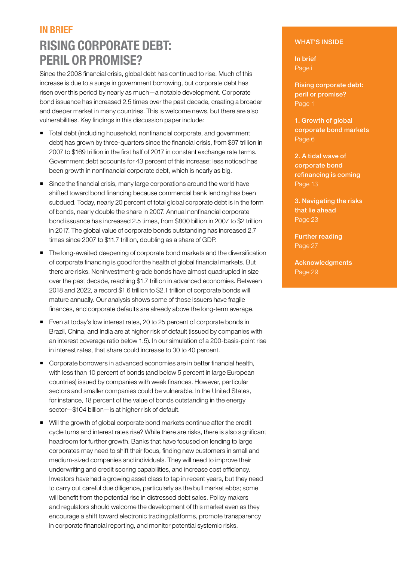### <span id="page-2-0"></span>IN BRIEF RISING CORPORATE DEBT: PERIL OR PROMISE?

Since the 2008 financial crisis, global debt has continued to rise. Much of this increase is due to a surge in government borrowing, but corporate debt has risen over this period by nearly as much—a notable development. Corporate bond issuance has increased 2.5 times over the past decade, creating a broader and deeper market in many countries. This is welcome news, but there are also vulnerabilities. Key findings in this discussion paper include:

- Total debt (including household, nonfinancial corporate, and government debt) has grown by three-quarters since the financial crisis, from \$97 trillion in 2007 to \$169 trillion in the first half of 2017 in constant exchange rate terms. Government debt accounts for 43 percent of this increase; less noticed has been growth in nonfinancial corporate debt, which is nearly as big.
- Since the financial crisis, many large corporations around the world have shifted toward bond financing because commercial bank lending has been subdued. Today, nearly 20 percent of total global corporate debt is in the form of bonds, nearly double the share in 2007. Annual nonfinancial corporate bond issuance has increased 2.5 times, from \$800 billion in 2007 to \$2 trillion in 2017. The global value of corporate bonds outstanding has increased 2.7 times since 2007 to \$11.7 trillion, doubling as a share of GDP.
- The long-awaited deepening of corporate bond markets and the diversification of corporate financing is good for the health of global financial markets. But there are risks. Noninvestment-grade bonds have almost quadrupled in size over the past decade, reaching \$1.7 trillion in advanced economies. Between 2018 and 2022, a record \$1.6 trillion to \$2.1 trillion of corporate bonds will mature annually. Our analysis shows some of those issuers have fragile finances, and corporate defaults are already above the long-term average.
- Even at today's low interest rates, 20 to 25 percent of corporate bonds in Brazil, China, and India are at higher risk of default (issued by companies with an interest coverage ratio below 1.5). In our simulation of a 200-basis-point rise in interest rates, that share could increase to 30 to 40 percent.
- Corporate borrowers in advanced economies are in better financial health, with less than 10 percent of bonds (and below 5 percent in large European countries) issued by companies with weak finances. However, particular sectors and smaller companies could be vulnerable. In the United States, for instance, 18 percent of the value of bonds outstanding in the energy sector—\$104 billion—is at higher risk of default.
- Will the growth of global corporate bond markets continue after the credit cycle turns and interest rates rise? While there are risks, there is also significant headroom for further growth. Banks that have focused on lending to large corporates may need to shift their focus, finding new customers in small and medium-sized companies and individuals. They will need to improve their underwriting and credit scoring capabilities, and increase cost efficiency. Investors have had a growing asset class to tap in recent years, but they need to carry out careful due diligence, particularly as the bull market ebbs; some will benefit from the potential rise in distressed debt sales. Policy makers and regulators should welcome the development of this market even as they encourage a shift toward electronic trading platforms, promote transparency in corporate financial reporting, and monitor potential systemic risks.

#### WHAT'S INSIDE

[In brief](#page-2-0) [Page i](#page-2-0)

[Rising corporate debt:](#page-4-0)  peril or [promise?](#page-4-0) [Page 1](#page-4-0)

[1. Growth of global](#page-9-0)  [corporate bond markets](#page-9-0) [Page 6](#page-9-0)

[2. A tidal wave of](#page-16-0)  [corporate bond](#page-16-0)  [refinancing is coming](#page-16-0) [Page 13](#page-16-0)

[3. Navigating the risks](#page-26-0)  [that lie ahead](#page-26-0) [Page 23](#page-26-0)

[Further reading](#page-30-0) [Page 27](#page-30-0)

[Acknowledgments](#page-32-0) [Page 29](#page-32-0)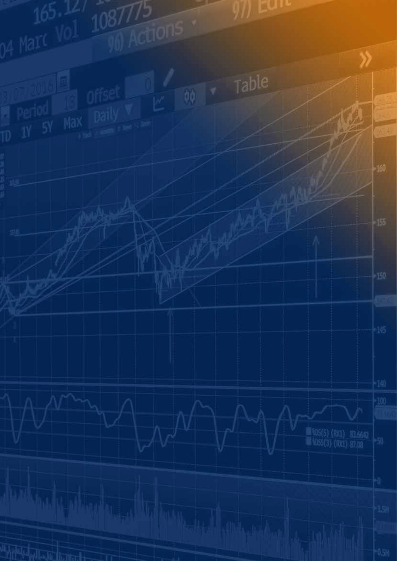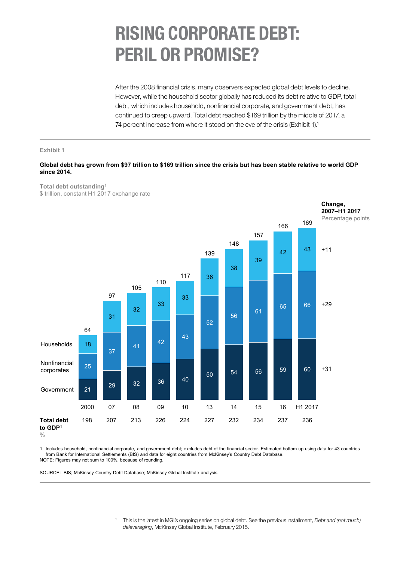# <span id="page-4-0"></span>RISING CORPORATE DEBT: PERIL OR PROMISE?

After the 2008 financial crisis, many observers expected global debt levels to decline. However, while the household sector globally has reduced its debt relative to GDP, total debt, which includes household, nonfinancial corporate, and government debt, has continued to creep upward. Total debt reached \$169 trillion by the middle of 2017, a 74 percent increase from where it stood on the eve of the crisis (Exhibit 1).<sup>1</sup>

#### **Exhibit 1**

#### **Global debt has grown from \$97 trillion to \$169 trillion since the crisis but has been stable relative to world GDP since 2014.**

**Total debt outstanding**<sup>1</sup> \$ trillion, constant H1 2017 exchange rate



 $\frac{0}{0}$ 

 Includes household, nonfinancial corporate, and government debt; excludes debt of the financial sector. Estimated bottom up using data for 43 countries from Bank for International Settlements (BIS) and data for eight countries from McKinsey's Country Debt Database. NOTE: Figures may not sum to 100%, because of rounding.

SOURCE: BIS; McKinsey Country Debt Database; McKinsey Global Institute analysis

 This is the latest in MGI's ongoing series on global debt. See the previous installment, *Debt and (not much)*  deleveraging, McKinsey Global Institute, February 2015.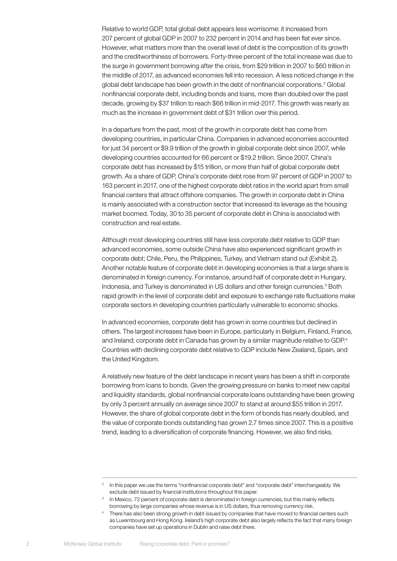Relative to world GDP, total global debt appears less worrisome: it increased from 207 percent of global GDP in 2007 to 232 percent in 2014 and has been flat ever since. However, what matters more than the overall level of debt is the composition of its growth and the creditworthiness of borrowers. Forty-three percent of the total increase was due to the surge in government borrowing after the crisis, from \$29 trillion in 2007 to \$60 trillion in the middle of 2017, as advanced economies fell into recession. A less noticed change in the global debt landscape has been growth in the debt of nonfinancial corporations.<sup>2</sup> Global nonfinancial corporate debt, including bonds and loans, more than doubled over the past decade, growing by \$37 trillion to reach \$66 trillion in mid-2017. This growth was nearly as much as the increase in government debt of \$31 trillion over this period.

In a departure from the past, most of the growth in corporate debt has come from developing countries, in particular China. Companies in advanced economies accounted for just 34 percent or \$9.9 trillion of the growth in global corporate debt since 2007, while developing countries accounted for 66 percent or \$19.2 trillion. Since 2007, China's corporate debt has increased by \$15 trillion, or more than half of global corporate debt growth. As a share of GDP, China's corporate debt rose from 97 percent of GDP in 2007 to 163 percent in 2017, one of the highest corporate debt ratios in the world apart from small financial centers that attract offshore companies. The growth in corporate debt in China is mainly associated with a construction sector that increased its leverage as the housing market boomed. Today, 30 to 35 percent of corporate debt in China is associated with construction and real estate.

Although most developing countries still have less corporate debt relative to GDP than advanced economies, some outside China have also experienced significant growth in corporate debt; Chile, Peru, the Philippines, Turkey, and Vietnam stand out (Exhibit 2). Another notable feature of corporate debt in developing economies is that a large share is denominated in foreign currency. For instance, around half of corporate debt in Hungary, Indonesia, and Turkey is denominated in US dollars and other foreign currencies.<sup>3</sup> Both rapid growth in the level of corporate debt and exposure to exchange rate fluctuations make corporate sectors in developing countries particularly vulnerable to economic shocks.

In advanced economies, corporate debt has grown in some countries but declined in others. The largest increases have been in Europe, particularly in Belgium, Finland, France, and Ireland; corporate debt in Canada has grown by a similar magnitude relative to GDP.4 Countries with declining corporate debt relative to GDP include New Zealand, Spain, and the United Kingdom.

A relatively new feature of the debt landscape in recent years has been a shift in corporate borrowing from loans to bonds. Given the growing pressure on banks to meet new capital and liquidity standards, global nonfinancial corporate loans outstanding have been growing by only 3 percent annually on average since 2007 to stand at around \$55 trillion in 2017. However, the share of global corporate debt in the form of bonds has nearly doubled, and the value of corporate bonds outstanding has grown 2.7 times since 2007. This is a positive trend, leading to a diversification of corporate financing. However, we also find risks.

<sup>&</sup>lt;sup>2</sup> In this paper we use the terms "nonfinancial corporate debt" and "corporate debt" interchangeably. We exclude debt issued by financial institutions throughout this paper.

<sup>&</sup>lt;sup>3</sup> In Mexico, 72 percent of corporate debt is denominated in foreign currencies, but this mainly reflects borrowing by large companies whose revenue is in US dollars, thus removing currency risk.

There has also been strong growth in debt issued by companies that have moved to financial centers such as Luxembourg and Hong Kong. Ireland's high corporate debt also largely reflects the fact that many foreign companies have set up operations in Dublin and raise debt there.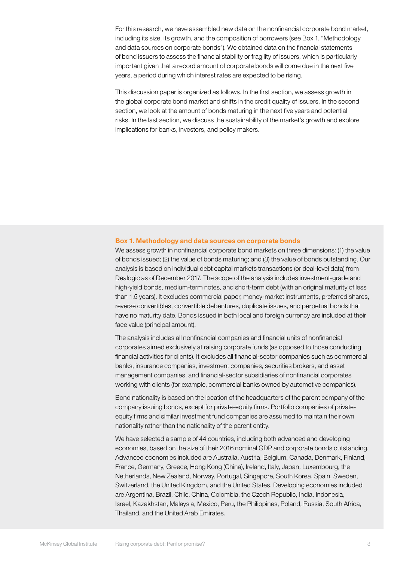For this research, we have assembled new data on the nonfinancial corporate bond market, including its size, its growth, and the composition of borrowers (see Box 1, "Methodology and data sources on corporate bonds"). We obtained data on the financial statements of bond issuers to assess the financial stability or fragility of issuers, which is particularly important given that a record amount of corporate bonds will come due in the next five years, a period during which interest rates are expected to be rising.

This discussion paper is organized as follows. In the first section, we assess growth in the global corporate bond market and shifts in the credit quality of issuers. In the second section, we look at the amount of bonds maturing in the next five years and potential risks. In the last section, we discuss the sustainability of the market's growth and explore implications for banks, investors, and policy makers.

#### Box 1. Methodology and data sources on corporate bonds

We assess growth in nonfinancial corporate bond markets on three dimensions: (1) the value of bonds issued; (2) the value of bonds maturing; and (3) the value of bonds outstanding. Our analysis is based on individual debt capital markets transactions (or deal-level data) from Dealogic as of December 2017. The scope of the analysis includes investment-grade and high-yield bonds, medium-term notes, and short-term debt (with an original maturity of less than 1.5 years). It excludes commercial paper, money-market instruments, preferred shares, reverse convertibles, convertible debentures, duplicate issues, and perpetual bonds that have no maturity date. Bonds issued in both local and foreign currency are included at their face value (principal amount).

The analysis includes all nonfinancial companies and financial units of nonfinancial corporates aimed exclusively at raising corporate funds (as opposed to those conducting financial activities for clients). It excludes all financial-sector companies such as commercial banks, insurance companies, investment companies, securities brokers, and asset management companies, and financial-sector subsidiaries of nonfinancial corporates working with clients (for example, commercial banks owned by automotive companies).

Bond nationality is based on the location of the headquarters of the parent company of the company issuing bonds, except for private-equity firms. Portfolio companies of privateequity firms and similar investment fund companies are assumed to maintain their own nationality rather than the nationality of the parent entity.

We have selected a sample of 44 countries, including both advanced and developing economies, based on the size of their 2016 nominal GDP and corporate bonds outstanding. Advanced economies included are Australia, Austria, Belgium, Canada, Denmark, Finland, France, Germany, Greece, Hong Kong (China), Ireland, Italy, Japan, Luxembourg, the Netherlands, New Zealand, Norway, Portugal, Singapore, South Korea, Spain, Sweden, Switzerland, the United Kingdom, and the United States. Developing economies included are Argentina, Brazil, Chile, China, Colombia, the Czech Republic, India, Indonesia, Israel, Kazakhstan, Malaysia, Mexico, Peru, the Philippines, Poland, Russia, South Africa, Thailand, and the United Arab Emirates.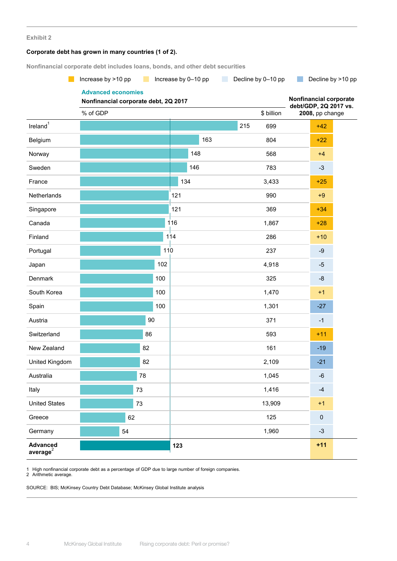#### **Corporate debt has grown in many countries (1 of 2).**

**Nonfinancial corporate debt includes loans, bonds, and other debt securities**

|                            | Increase by >10 pp                                                | <b>COL</b>                                      | Increase by 0-10 pp | <b>College</b> |     | Decline by 0-10 pp | $\sim$ | Decline by >10 pp |  |
|----------------------------|-------------------------------------------------------------------|-------------------------------------------------|---------------------|----------------|-----|--------------------|--------|-------------------|--|
|                            | <b>Advanced economies</b><br>Nonfinancial corporate debt, 2Q 2017 | Nonfinancial corporate<br>debt/GDP, 2Q 2017 vs. |                     |                |     |                    |        |                   |  |
|                            | % of GDP                                                          |                                                 |                     |                |     | \$ billion         |        | 2008, pp change   |  |
| $\text{Ireland}^1$         |                                                                   |                                                 |                     |                | 215 | 699                |        | $+42$             |  |
| Belgium                    |                                                                   |                                                 |                     | 163            |     | 804                |        | $+22$             |  |
| Norway                     |                                                                   |                                                 | 148                 |                |     | 568                |        | $+4$              |  |
| Sweden                     |                                                                   |                                                 | 146                 |                |     | 783                |        | $-3$              |  |
| France                     |                                                                   |                                                 | 134                 |                |     | 3,433              |        | $+25$             |  |
| Netherlands                |                                                                   |                                                 | 121                 |                |     | 990                |        | $+9$              |  |
| Singapore                  |                                                                   |                                                 | 121                 |                |     | 369                |        | $+34$             |  |
| Canada                     |                                                                   |                                                 | 116                 |                |     | 1,867              |        | $+28$             |  |
| Finland                    |                                                                   |                                                 | 114                 |                |     | 286                |        | $+10$             |  |
| Portugal                   |                                                                   | 110                                             |                     |                |     | 237                |        | $-9$              |  |
| Japan                      |                                                                   | 102                                             |                     |                |     | 4,918              |        | $-5$              |  |
| Denmark                    |                                                                   | 100                                             |                     |                |     | 325                |        | $-8$              |  |
| South Korea                |                                                                   | 100                                             |                     |                |     | 1,470              |        | $+1$              |  |
| Spain                      |                                                                   | 100                                             |                     |                |     | 1,301              |        | $-27$             |  |
| Austria                    |                                                                   | 90                                              |                     |                |     | 371                |        | $-1$              |  |
| Switzerland                |                                                                   | 86                                              |                     |                |     | 593                |        | $+11$             |  |
| New Zealand                |                                                                   | 82                                              |                     |                |     | 161                |        | $-19$             |  |
| United Kingdom             |                                                                   | 82                                              |                     |                |     | 2,109              |        | $-21$             |  |
| Australia                  |                                                                   | 78                                              |                     |                |     | 1,045              |        | $-6$              |  |
| Italy                      |                                                                   | $73\,$                                          |                     |                |     | 1,416              |        | $-4$              |  |
| <b>United States</b>       |                                                                   | 73                                              |                     |                |     | 13,909             |        | $+1$              |  |
| Greece                     | 62                                                                |                                                 |                     |                |     | 125                |        | $\pmb{0}$         |  |
| Germany                    | 54                                                                |                                                 |                     |                |     | 1,960              |        | $-3$              |  |
| <b>Advanced</b><br>average |                                                                   |                                                 | 123                 |                |     |                    |        | $+11$             |  |

1 High nonfinancial corporate debt as a percentage of GDP due to large number of foreign companies.

2 Arithmetic average.

SOURCE: BIS; McKinsey Country Debt Database; McKinsey Global Institute analysis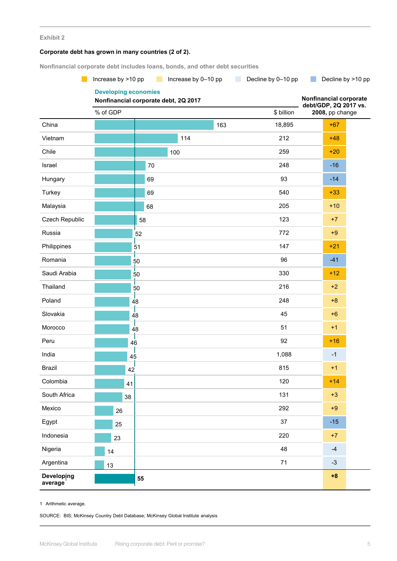#### **Corporate debt has grown in many countries (2 of 2).**

**Nonfinancial corporate debt includes loans, bonds, and other debt securities**

|                       | Increase by >10 pp                                                  | <b>College</b> | Increase by 0-10 pp                             |            | Decline by 0-10 pp<br>a a |  |       | Decline by >10 pp |
|-----------------------|---------------------------------------------------------------------|----------------|-------------------------------------------------|------------|---------------------------|--|-------|-------------------|
|                       | <b>Developing economies</b><br>Nonfinancial corporate debt, 2Q 2017 |                | Nonfinancial corporate<br>debt/GDP, 2Q 2017 vs. |            |                           |  |       |                   |
|                       | % of GDP                                                            |                |                                                 | \$ billion | 2008, pp change           |  |       |                   |
| China                 |                                                                     |                |                                                 | 163        | 18,895                    |  | $+67$ |                   |
| Vietnam               |                                                                     |                | 114                                             |            | 212                       |  | $+48$ |                   |
| Chile                 |                                                                     |                | 100                                             |            | 259                       |  | $+20$ |                   |
| Israel                |                                                                     | 70             |                                                 |            | 248                       |  | $-16$ |                   |
| Hungary               |                                                                     | 69             |                                                 |            | 93                        |  | $-14$ |                   |
| Turkey                |                                                                     | 69             |                                                 |            | 540                       |  | $+33$ |                   |
| Malaysia              |                                                                     | 68             |                                                 |            | 205                       |  | $+10$ |                   |
| Czech Republic        |                                                                     | 58             |                                                 |            | 123                       |  | $+7$  |                   |
| Russia                |                                                                     | 52             |                                                 |            | 772                       |  | $+9$  |                   |
| Philippines           |                                                                     | 51             |                                                 |            | 147                       |  | $+21$ |                   |
| Romania               |                                                                     | 50             |                                                 |            | 96                        |  | $-41$ |                   |
| Saudi Arabia          |                                                                     | 50             |                                                 |            | 330                       |  | $+12$ |                   |
| Thailand              |                                                                     | 50             |                                                 |            | 216                       |  | $+2$  |                   |
| Poland                |                                                                     | 48             |                                                 |            | 248                       |  | $+8$  |                   |
| Slovakia              |                                                                     | 48             |                                                 |            | 45                        |  | $+6$  |                   |
| Morocco               |                                                                     | 48             |                                                 |            | 51                        |  | $+1$  |                   |
| Peru                  | 46                                                                  |                |                                                 |            | 92                        |  | $+16$ |                   |
| India                 | 45                                                                  |                |                                                 |            | 1,088                     |  | $-1$  |                   |
| <b>Brazil</b>         | 42                                                                  |                |                                                 |            | 815                       |  | $+1$  |                   |
| Colombia              | 41                                                                  |                |                                                 |            | 120                       |  | $+14$ |                   |
| South Africa          | 38                                                                  |                |                                                 |            | 131                       |  | $+3$  |                   |
| Mexico                | 26                                                                  |                |                                                 |            | 292                       |  | $+9$  |                   |
| Egypt                 | 25                                                                  |                |                                                 |            | 37                        |  | $-15$ |                   |
| Indonesia             | 23                                                                  |                |                                                 |            | 220                       |  | $+7$  |                   |
| Nigeria               | 14                                                                  |                |                                                 |            | 48                        |  | $-4$  |                   |
| Argentina             | 13                                                                  |                |                                                 |            | 71                        |  | $-3$  |                   |
| Developing<br>average |                                                                     | 55             |                                                 |            |                           |  | $+8$  |                   |

1 Arithmetic average.

SOURCE: BIS; McKinsey Country Debt Database; McKinsey Global Institute analysis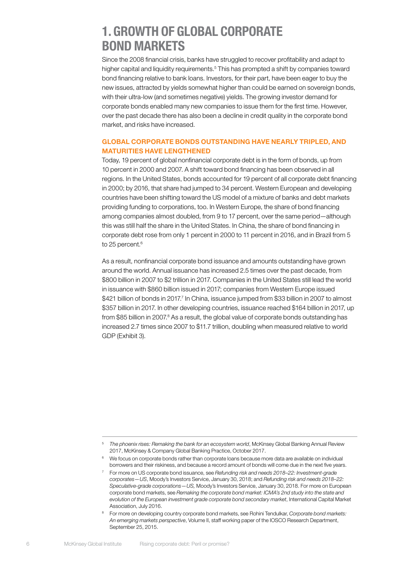### <span id="page-9-0"></span>1. GROWTH OF GLOBAL CORPORATE BOND MARKETS

Since the 2008 financial crisis, banks have struggled to recover profitability and adapt to higher capital and liquidity requirements.<sup>5</sup> This has prompted a shift by companies toward bond financing relative to bank loans. Investors, for their part, have been eager to buy the new issues, attracted by yields somewhat higher than could be earned on sovereign bonds, with their ultra-low (and sometimes negative) yields. The growing investor demand for corporate bonds enabled many new companies to issue them for the first time. However, over the past decade there has also been a decline in credit quality in the corporate bond market, and risks have increased.

#### GLOBAL CORPORATE BONDS OUTSTANDING HAVE NEARLY TRIPLED, AND MATURITIES HAVE LENGTHENED

Today, 19 percent of global nonfinancial corporate debt is in the form of bonds, up from 10 percent in 2000 and 2007. A shift toward bond financing has been observed in all regions. In the United States, bonds accounted for 19 percent of all corporate debt financing in 2000; by 2016, that share had jumped to 34 percent. Western European and developing countries have been shifting toward the US model of a mixture of banks and debt markets providing funding to corporations, too. In Western Europe, the share of bond financing among companies almost doubled, from 9 to 17 percent, over the same period—although this was still half the share in the United States. In China, the share of bond financing in corporate debt rose from only 1 percent in 2000 to 11 percent in 2016, and in Brazil from 5 to 25 percent.<sup>6</sup>

As a result, nonfinancial corporate bond issuance and amounts outstanding have grown around the world. Annual issuance has increased 2.5 times over the past decade, from \$800 billion in 2007 to \$2 trillion in 2017. Companies in the United States still lead the world in issuance with \$860 billion issued in 2017; companies from Western Europe issued \$421 billion of bonds in 2017.<sup>7</sup> In China, issuance jumped from \$33 billion in 2007 to almost \$357 billion in 2017. In other developing countries, issuance reached \$164 billion in 2017, up from \$85 billion in 2007.<sup>8</sup> As a result, the global value of corporate bonds outstanding has increased 2.7 times since 2007 to \$11.7 trillion, doubling when measured relative to world GDP (Exhibit 3).

<sup>&</sup>lt;sup>5</sup> The phoenix rises: Remaking the bank for an ecosystem world, McKinsey Global Banking Annual Review 2017, McKinsey & Company Global Banking Practice, October 2017.

<sup>&</sup>lt;sup>6</sup> We focus on corporate bonds rather than corporate loans because more data are available on individual borrowers and their riskiness, and because a record amount of bonds will come due in the next five years.

<sup>7</sup> For more on US corporate bond issuance, see *Refunding risk and needs 2018–22: Investment-grade corporates—US*, Moody's Investors Service, January 30, 2018; and *Refunding risk and needs 2018–22: Speculative-grade corporations—US,* Moody's Investors Service, January 30, 2018. For more on European corporate bond markets, see *Remaking the corporate bond market: ICMA's 2nd study into the state and evolution of the European investment grade corporate bond secondary market*, International Capital Market Association, July 2016.

<sup>8</sup> For more on developing country corporate bond markets, see Rohini Tendulkar, *Corporate bond markets: An emerging markets perspective*, Volume II, staff working paper of the IOSCO Research Department, September 25, 2015.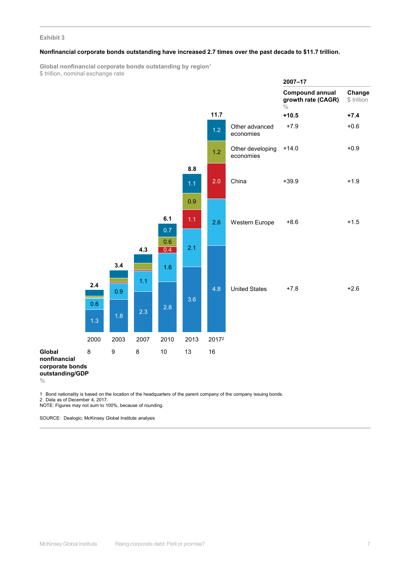#### **Nonfinancial corporate bonds outstanding have increased 2.7 times over the past decade to \$11.7 trillion.**

**Global nonfinancial corporate bonds outstanding by region**<sup>1</sup> \$ trillion, nominal exchange rate



1 Bond nationality is based on the location of the headquarters of the parent company of the company issuing bonds.

2 Data as of December 4, 2017.

 $\frac{0}{0}$ 

NOTE: Figures may not sum to 100%, because of rounding.

SOURCE: Dealogic; McKinsey Global Institute analysis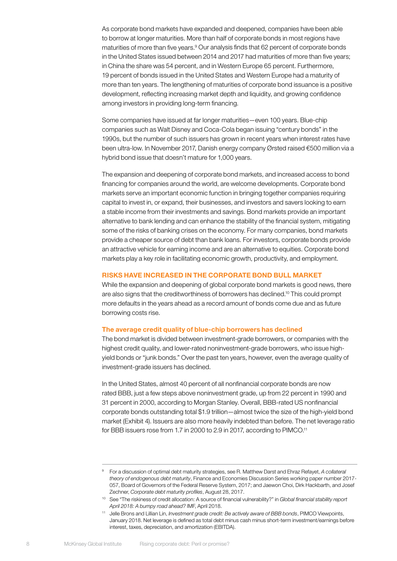As corporate bond markets have expanded and deepened, companies have been able to borrow at longer maturities. More than half of corporate bonds in most regions have maturities of more than five years.<sup>9</sup> Our analysis finds that 62 percent of corporate bonds in the United States issued between 2014 and 2017 had maturities of more than five years; in China the share was 54 percent, and in Western Europe 65 percent. Furthermore, 19 percent of bonds issued in the United States and Western Europe had a maturity of more than ten years. The lengthening of maturities of corporate bond issuance is a positive development, reflecting increasing market depth and liquidity, and growing confidence among investors in providing long-term financing.

Some companies have issued at far longer maturities—even 100 years. Blue-chip companies such as Walt Disney and Coca-Cola began issuing "century bonds" in the 1990s, but the number of such issuers has grown in recent years when interest rates have been ultra-low. In November 2017, Danish energy company Ørsted raised €500 million via a hybrid bond issue that doesn't mature for 1,000 years.

The expansion and deepening of corporate bond markets, and increased access to bond financing for companies around the world, are welcome developments. Corporate bond markets serve an important economic function in bringing together companies requiring capital to invest in, or expand, their businesses, and investors and savers looking to earn a stable income from their investments and savings. Bond markets provide an important alternative to bank lending and can enhance the stability of the financial system, mitigating some of the risks of banking crises on the economy. For many companies, bond markets provide a cheaper source of debt than bank loans. For investors, corporate bonds provide an attractive vehicle for earning income and are an alternative to equities. Corporate bond markets play a key role in facilitating economic growth, productivity, and employment.

#### RISKS HAVE INCREASED IN THE CORPORATE BOND BULL MARKET

While the expansion and deepening of global corporate bond markets is good news, there are also signs that the creditworthiness of borrowers has declined.10 This could prompt more defaults in the years ahead as a record amount of bonds come due and as future borrowing costs rise.

#### The average credit quality of blue-chip borrowers has declined

The bond market is divided between investment-grade borrowers, or companies with the highest credit quality, and lower-rated noninvestment-grade borrowers, who issue highyield bonds or "junk bonds." Over the past ten years, however, even the average quality of investment-grade issuers has declined.

In the United States, almost 40 percent of all nonfinancial corporate bonds are now rated BBB, just a few steps above noninvestment grade, up from 22 percent in 1990 and 31 percent in 2000, according to Morgan Stanley. Overall, BBB-rated US nonfinancial corporate bonds outstanding total \$1.9 trillion—almost twice the size of the high-yield bond market (Exhibit 4). Issuers are also more heavily indebted than before. The net leverage ratio for BBB issuers rose from 1.7 in 2000 to 2.9 in 2017, according to PIMCO.11

<sup>9</sup> For a discussion of optimal debt maturity strategies, see R. Matthew Darst and Ehraz Refayet, *A collateral theory of endogenous debt maturity*, Finance and Economies Discussion Series working paper number 2017- 057, Board of Governors of the Federal Reserve System, 2017; and Jaewon Choi, Dirk Hackbarth, and Josef Zechner, *Corporate debt maturity profiles*, August 28, 2017.

<sup>10</sup> See "The riskiness of credit allocation: A source of financial vulnerability?" in *Global financial stability report April 2018: A bumpy road ahead?* IMF, April 2018.

<sup>11</sup> Jelle Brons and Lillian Lin, *Investment grade credit: Be actively aware of BBB bonds*, PIMCO Viewpoints, January 2018. Net leverage is defined as total debt minus cash minus short-term investment/earnings before interest, taxes, depreciation, and amortization (EBITDA).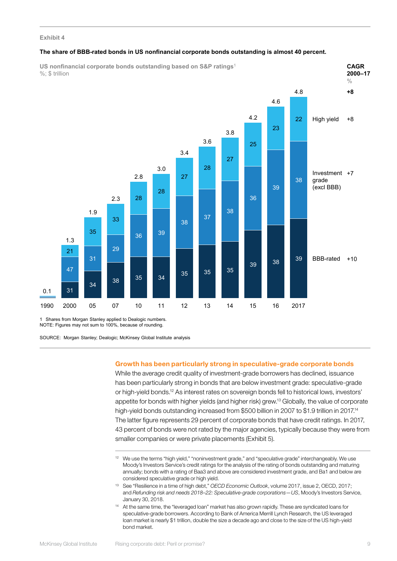#### **The share of BBB-rated bonds in US nonfinancial corporate bonds outstanding is almost 40 percent.**

**US nonfinancial corporate bonds outstanding based on S&P ratings**<sup>1</sup> %; \$ trillion



1 Shares from Morgan Stanley applied to Dealogic numbers. NOTE: Figures may not sum to 100%, because of rounding.

SOURCE: Morgan Stanley; Dealogic; McKinsey Global Institute analysis

#### Growth has been particularly strong in speculative-grade corporate bonds

While the average credit quality of investment-grade borrowers has declined, issuance has been particularly strong in bonds that are below investment grade: speculative-grade or high-yield bonds.12 As interest rates on sovereign bonds fell to historical lows, investors' appetite for bonds with higher yields (and higher risk) grew.13 Globally, the value of corporate high-yield bonds outstanding increased from \$500 billion in 2007 to \$1.9 trillion in 2017.<sup>14</sup> The latter figure represents 29 percent of corporate bonds that have credit ratings. In 2017, 43 percent of bonds were not rated by the major agencies, typically because they were from smaller companies or were private placements (Exhibit 5).

**CAGR**

<sup>&</sup>lt;sup>12</sup> We use the terms "high yield," "noninvestment grade," and "speculative grade" interchangeably. We use Moody's Investors Service's credit ratings for the analysis of the rating of bonds outstanding and maturing annually; bonds with a rating of Baa3 and above are considered investment grade, and Ba1 and below are considered speculative grade or high yield.

<sup>13</sup> See "Resilience in a time of high debt," *OECD Economic Outlook*, volume 2017, issue 2, OECD, 2017; and *Refunding risk and needs 2018–22: Speculative-grade corporations—US*, Moody's Investors Service, January 30, 2018.

<sup>&</sup>lt;sup>14</sup> At the same time, the "leveraged loan" market has also grown rapidly. These are syndicated loans for speculative-grade borrowers. According to Bank of America Merrill Lynch Research, the US leveraged loan market is nearly \$1 trillion, double the size a decade ago and close to the size of the US high-yield bond market.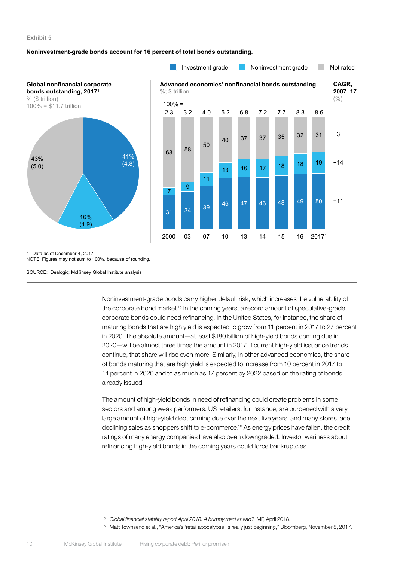#### **Noninvestment-grade bonds account for 16 percent of total bonds outstanding.**



1 Data as of December 4, 2017.

NOTE: Figures may not sum to 100%, because of rounding.

SOURCE: Dealogic; McKinsey Global Institute analysis

Noninvestment-grade bonds carry higher default risk, which increases the vulnerability of the corporate bond market.<sup>15</sup> In the coming years, a record amount of speculative-grade corporate bonds could need refinancing. In the United States, for instance, the share of maturing bonds that are high yield is expected to grow from 11 percent in 2017 to 27 percent in 2020. The absolute amount—at least \$180 billion of high-yield bonds coming due in 2020—will be almost three times the amount in 2017. If current high-yield issuance trends continue, that share will rise even more. Similarly, in other advanced economies, the share of bonds maturing that are high yield is expected to increase from 10 percent in 2017 to 14 percent in 2020 and to as much as 17 percent by 2022 based on the rating of bonds already issued.

The amount of high-yield bonds in need of refinancing could create problems in some sectors and among weak performers. US retailers, for instance, are burdened with a very large amount of high-yield debt coming due over the next five years, and many stores face declining sales as shoppers shift to e-commerce.<sup>16</sup> As energy prices have fallen, the credit ratings of many energy companies have also been downgraded. Investor wariness about refinancing high-yield bonds in the coming years could force bankruptcies.

<sup>15</sup> *Global financial stability report April 2018: A bumpy road ahead?* IMF, April 2018.

<sup>16</sup> Matt Townsend et al., "America's 'retail apocalypse' is really just beginning," Bloomberg, November 8, 2017.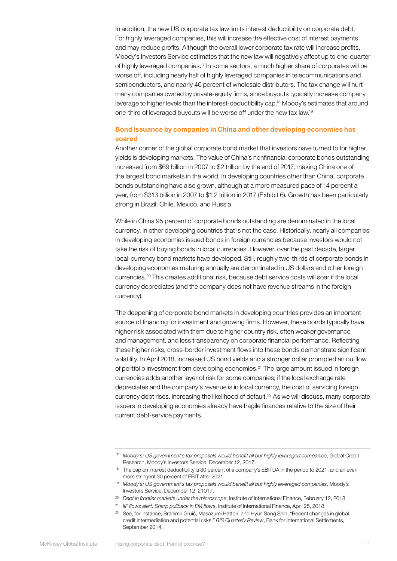In addition, the new US corporate tax law limits interest deductibility on corporate debt. For highly leveraged companies, this will increase the effective cost of interest payments and may reduce profits. Although the overall lower corporate tax rate will increase profits, Moody's Investors Service estimates that the new law will negatively affect up to one-quarter of highly leveraged companies.17 In some sectors, a much higher share of corporates will be worse off, including nearly half of highly leveraged companies in telecommunications and semiconductors, and nearly 40 percent of wholesale distributors. The tax change will hurt many companies owned by private-equity firms, since buyouts typically increase company leverage to higher levels than the interest-deductibility cap.18 Moody's estimates that around one-third of leveraged buyouts will be worse off under the new tax law.19

#### Bond issuance by companies in China and other developing economies has soared

Another corner of the global corporate bond market that investors have turned to for higher yields is developing markets. The value of China's nonfinancial corporate bonds outstanding increased from \$69 billion in 2007 to \$2 trillion by the end of 2017, making China one of the largest bond markets in the world. In developing countries other than China, corporate bonds outstanding have also grown, although at a more measured pace of 14 percent a year, from \$313 billion in 2007 to \$1.2 trillion in 2017 (Exhibit 6). Growth has been particularly strong in Brazil, Chile, Mexico, and Russia.

While in China 95 percent of corporate bonds outstanding are denominated in the local currency, in other developing countries that is not the case. Historically, nearly all companies in developing economies issued bonds in foreign currencies because investors would not take the risk of buying bonds in local currencies. However, over the past decade, larger local-currency bond markets have developed. Still, roughly two-thirds of corporate bonds in developing economies maturing annually are denominated in US dollars and other foreign currencies.20 This creates additional risk, because debt service costs will soar if the local currency depreciates (and the company does not have revenue streams in the foreign currency).

The deepening of corporate bond markets in developing countries provides an important source of financing for investment and growing firms. However, these bonds typically have higher risk associated with them due to higher country risk, often weaker governance and management, and less transparency on corporate financial performance. Reflecting these higher risks, cross-border investment flows into these bonds demonstrate significant volatility. In April 2018, increased US bond yields and a stronger dollar prompted an outflow of portfolio investment from developing economies.21 The large amount issued in foreign currencies adds another layer of risk for some companies; if the local exchange rate depreciates and the company's revenue is in local currency, the cost of servicing foreign currency debt rises, increasing the likelihood of default.<sup>22</sup> As we will discuss, many corporate issuers in developing economies already have fragile finances relative to the size of their current debt-service payments.

<sup>17</sup> *Moody's: US government's tax proposals would benefit all but highly leveraged companies*, Global Credit Research, Moody's Investors Service, December 12, 2017.

<sup>&</sup>lt;sup>18</sup> The cap on interest deductibility is 30 percent of a company's EBITDA in the period to 2021, and an even more stringent 30 percent of EBIT after 2021.

<sup>19</sup> *Moody's: US government's tax proposals would benefit all but highly leveraged companies*, Moody's Investors Service, December 12, 21017.

<sup>20</sup> *Debt in frontier markets under the microscope*, Institute of International Finance, February 12, 2018.

<sup>21</sup> *IIF flows alert: Sharp pullback in EM flows*, Institute of International Finance, April 25, 2018.

<sup>&</sup>lt;sup>22</sup> See, for instance, Branimir Gruić, Masazumi Hattori, and Hyun Song Shin, "Recent changes in global credit intermediation and potential risks," *BIS Quarterly Review*, Bank for International Settlements, September 2014.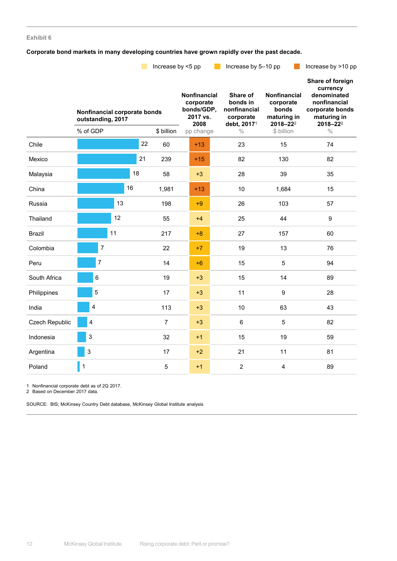#### **Corporate bond markets in many developing countries have grown rapidly over the past decade.**

Increase by <5 pp Increase by 5–10 pp Increase by >10 pp

|                       | Nonfinancial corporate bonds<br>outstanding, 2017 |    |    |                | Nonfinancial<br>corporate<br>bonds/GDP,<br>2017 vs.<br>2008 | Share of<br>bonds in<br>nonfinancial<br>corporate<br>debt, 2017 <sup>1</sup> | Nonfinancial<br>corporate<br>bonds<br>maturing in<br>2018-222 | Share of foreign<br>currency<br>denominated<br>nonfinancial<br>corporate bonds<br>maturing in<br>2018-222 |
|-----------------------|---------------------------------------------------|----|----|----------------|-------------------------------------------------------------|------------------------------------------------------------------------------|---------------------------------------------------------------|-----------------------------------------------------------------------------------------------------------|
|                       | % of GDP                                          |    |    | \$ billion     | pp change                                                   | $\frac{0}{0}$                                                                | \$ billion                                                    | $\frac{0}{0}$                                                                                             |
| Chile                 |                                                   |    | 22 | 60             | $+13$                                                       | 23                                                                           | 15                                                            | 74                                                                                                        |
| Mexico                |                                                   |    | 21 | 239            | $+15$                                                       | 82                                                                           | 130                                                           | 82                                                                                                        |
| Malaysia              |                                                   | 18 |    | 58             | $+3$                                                        | 28                                                                           | 39                                                            | 35                                                                                                        |
| China                 |                                                   | 16 |    | 1,981          | $+13$                                                       | 10                                                                           | 1,684                                                         | 15                                                                                                        |
| Russia                |                                                   | 13 |    | 198            | $+9$                                                        | 26                                                                           | 103                                                           | 57                                                                                                        |
| Thailand              |                                                   | 12 |    | 55             | $+4$                                                        | 25                                                                           | 44                                                            | $\boldsymbol{9}$                                                                                          |
| <b>Brazil</b>         |                                                   | 11 |    | 217            | $+8$                                                        | 27                                                                           | 157                                                           | 60                                                                                                        |
| Colombia              | $\overline{7}$                                    |    |    | 22             | $+7$                                                        | 19                                                                           | 13                                                            | 76                                                                                                        |
| Peru                  | $\overline{7}$                                    |    |    | 14             | $+6$                                                        | 15                                                                           | $\overline{5}$                                                | 94                                                                                                        |
| South Africa          | 6                                                 |    |    | 19             | $+3$                                                        | 15                                                                           | 14                                                            | 89                                                                                                        |
| Philippines           | 5                                                 |    |    | 17             | $+3$                                                        | 11                                                                           | 9                                                             | 28                                                                                                        |
| India                 | 4                                                 |    |    | 113            | $+3$                                                        | 10                                                                           | 63                                                            | 43                                                                                                        |
| <b>Czech Republic</b> | $\overline{\mathbf{4}}$                           |    |    | $\overline{7}$ | $+3$                                                        | $6\phantom{1}$                                                               | $\overline{5}$                                                | 82                                                                                                        |
| Indonesia             | 3                                                 |    |    | 32             | $+1$                                                        | 15                                                                           | 19                                                            | 59                                                                                                        |
| Argentina             | 3                                                 |    |    | 17             | $+2$                                                        | 21                                                                           | 11                                                            | 81                                                                                                        |
| Poland                | 1                                                 |    |    | 5              | $+1$                                                        | $\overline{c}$                                                               | 4                                                             | 89                                                                                                        |

1 Nonfinancial corporate debt as of 2Q 2017.

2 Based on December 2017 data.

SOURCE: BIS; McKinsey Country Debt database, McKinsey Global Institute analysis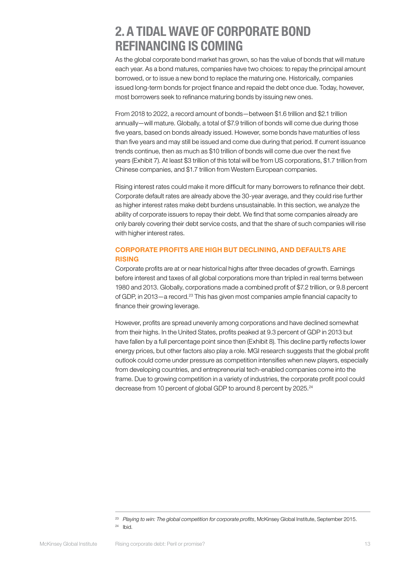### <span id="page-16-0"></span>2. A TIDAL WAVE OF CORPORATE BOND REFINANCING IS COMING

As the global corporate bond market has grown, so has the value of bonds that will mature each year. As a bond matures, companies have two choices: to repay the principal amount borrowed, or to issue a new bond to replace the maturing one. Historically, companies issued long-term bonds for project finance and repaid the debt once due. Today, however, most borrowers seek to refinance maturing bonds by issuing new ones.

From 2018 to 2022, a record amount of bonds—between \$1.6 trillion and \$2.1 trillion annually—will mature. Globally, a total of \$7.9 trillion of bonds will come due during those five years, based on bonds already issued. However, some bonds have maturities of less than five years and may still be issued and come due during that period. If current issuance trends continue, then as much as \$10 trillion of bonds will come due over the next five years (Exhibit 7). At least \$3 trillion of this total will be from US corporations, \$1.7 trillion from Chinese companies, and \$1.7 trillion from Western European companies.

Rising interest rates could make it more difficult for many borrowers to refinance their debt. Corporate default rates are already above the 30-year average, and they could rise further as higher interest rates make debt burdens unsustainable. In this section, we analyze the ability of corporate issuers to repay their debt. We find that some companies already are only barely covering their debt service costs, and that the share of such companies will rise with higher interest rates.

#### CORPORATE PROFITS ARE HIGH BUT DECLINING, AND DEFAULTS ARE RISING

Corporate profits are at or near historical highs after three decades of growth. Earnings before interest and taxes of all global corporations more than tripled in real terms between 1980 and 2013. Globally, corporations made a combined profit of \$7.2 trillion, or 9.8 percent of GDP, in 2013—a record.<sup>23</sup> This has given most companies ample financial capacity to finance their growing leverage.

However, profits are spread unevenly among corporations and have declined somewhat from their highs. In the United States, profits peaked at 9.3 percent of GDP in 2013 but have fallen by a full percentage point since then (Exhibit 8). This decline partly reflects lower energy prices, but other factors also play a role. MGI research suggests that the global profit outlook could come under pressure as competition intensifies when new players, especially from developing countries, and entrepreneurial tech-enabled companies come into the frame. Due to growing competition in a variety of industries, the corporate profit pool could decrease from 10 percent of global GDP to around 8 percent by 2025.<sup>24</sup>

<sup>&</sup>lt;sup>23</sup> Playing to win: The global competition for corporate profits, McKinsey Global Institute, September 2015.

 $24$  Ibid.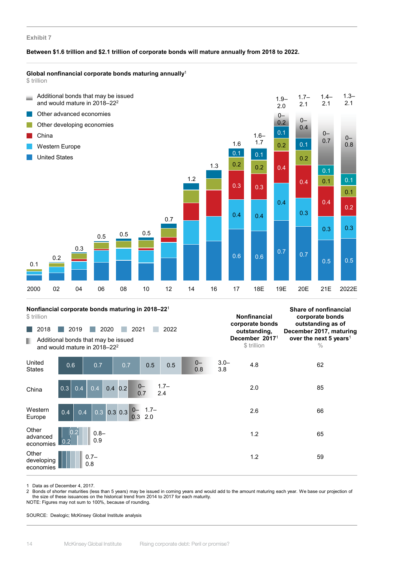#### **Between \$1.6 trillion and \$2.1 trillion of corporate bonds will mature annually from 2018 to 2022.**

| \$ trillion             |                                                                                 |      |         |           |                             | Global nonfinancial corporate bonds maturing annually <sup>1</sup> |             |                |     |                                            |                |                |                                                               |                |
|-------------------------|---------------------------------------------------------------------------------|------|---------|-----------|-----------------------------|--------------------------------------------------------------------|-------------|----------------|-----|--------------------------------------------|----------------|----------------|---------------------------------------------------------------|----------------|
|                         | Additional bonds that may be issued<br>and would mature in 2018-22 <sup>2</sup> |      |         |           |                             |                                                                    |             |                |     |                                            | $1.9 -$<br>2.0 | $1.7 -$<br>2.1 | $1.4 -$<br>2.1                                                | $1.3 -$<br>2.1 |
|                         | Other advanced economies                                                        |      |         |           |                             |                                                                    |             |                |     |                                            |                |                |                                                               |                |
|                         | Other developing economies                                                      |      |         |           |                             |                                                                    |             |                |     |                                            |                |                |                                                               |                |
| China                   |                                                                                 |      |         |           |                             |                                                                    |             |                |     | $1.6 -$                                    | 0.1            | 0.4            | $0-$                                                          | $0-$           |
|                         | Western Europe                                                                  |      |         |           |                             |                                                                    |             |                | 1.6 | 1.7                                        | 0.2            | 0.1            | 0.7                                                           | 0.8            |
|                         | <b>United States</b>                                                            |      |         |           |                             |                                                                    |             |                | 0.1 | 0.1                                        |                | 0.2            |                                                               |                |
|                         |                                                                                 |      |         |           |                             |                                                                    |             | 1.3            | 0.2 | 0.2                                        | 0.4            |                | 0.1                                                           |                |
|                         |                                                                                 |      |         |           |                             |                                                                    | 1.2         |                |     |                                            |                | 0.4            | 0.1                                                           | 0.1            |
|                         |                                                                                 |      |         |           |                             |                                                                    |             |                | 0.3 | 0.3                                        |                |                |                                                               | 0.1            |
|                         |                                                                                 |      |         |           |                             |                                                                    |             |                |     |                                            | 0.4            |                | 0.4                                                           |                |
|                         |                                                                                 |      |         |           |                             |                                                                    |             |                |     |                                            |                | 0.3            |                                                               | 0.2            |
|                         |                                                                                 |      |         |           |                             | 0.7                                                                |             |                | 0.4 | 0.4                                        |                |                |                                                               |                |
|                         |                                                                                 |      |         | 0.5       | 0.5                         |                                                                    |             |                |     |                                            |                |                | 0.3                                                           | 0.3            |
|                         |                                                                                 |      | 0.5     |           |                             |                                                                    |             |                |     |                                            |                |                |                                                               |                |
|                         |                                                                                 | 0.3  |         |           |                             |                                                                    |             |                | 0.6 | 0.6                                        | 0.7            | 0.7            |                                                               |                |
| 0.1                     | 0.2                                                                             |      |         |           |                             |                                                                    |             |                |     |                                            |                |                | 0.5                                                           | 0.5            |
|                         |                                                                                 |      |         |           |                             |                                                                    |             |                |     |                                            |                |                |                                                               |                |
| 2000                    | 02                                                                              | 04   | 06      | 08        | 10                          | 12                                                                 | 14          | 16             | 17  | 18E                                        | 19E            | 20E            | 21E                                                           | 2022E          |
|                         |                                                                                 |      |         |           |                             |                                                                    |             |                |     |                                            |                |                |                                                               |                |
| \$ trillion             | Nonfiancial corporate bonds maturing in 2018-22 <sup>1</sup>                    |      |         |           |                             |                                                                    |             |                |     | Nonfinancial                               |                |                | Share of nonfinancial<br>corporate bonds                      |                |
|                         |                                                                                 |      |         |           |                             |                                                                    |             |                |     | corporate bonds                            |                |                | outstanding as of                                             |                |
| 2018                    |                                                                                 | 2019 | 2020    |           | 2021                        | 2022                                                               |             |                |     | outstanding,<br>December 2017 <sup>1</sup> |                |                | December 2017, maturing<br>over the next 5 years <sup>1</sup> |                |
|                         | Additional bonds that may be issued<br>and would mature in 2018-22 <sup>2</sup> |      |         |           |                             |                                                                    |             |                |     | \$ trillion                                |                |                | $\frac{0}{0}$                                                 |                |
|                         |                                                                                 |      |         |           |                             |                                                                    |             |                |     |                                            |                |                |                                                               |                |
| United<br><b>States</b> |                                                                                 | 0.6  | 0.7     | 0.7       | 0.5                         | 0.5                                                                | $0-$<br>0.8 | $3.0 -$<br>3.8 |     | 4.8                                        |                |                | 62                                                            |                |
|                         |                                                                                 |      |         |           |                             |                                                                    |             |                |     |                                            |                |                |                                                               |                |
| China                   | 0.3                                                                             | 0.4  | 0.4     | $0.4$ 0.2 | $0 -$<br>0.7                | $1.7 -$<br>2.4                                                     |             |                |     | 2.0                                        |                |                | 85                                                            |                |
|                         |                                                                                 |      |         |           |                             |                                                                    |             |                |     |                                            |                |                |                                                               |                |
| Western<br>Europe       | 0.4                                                                             | 0.4  | 0.3     | $0.3$ 0.3 | $1.7 -$<br>0-<br>2.0<br>0.3 |                                                                    |             |                |     | 2.6                                        |                |                | 66                                                            |                |
|                         |                                                                                 |      |         |           |                             |                                                                    |             |                |     |                                            |                |                |                                                               |                |
| Other<br>advanced       |                                                                                 |      | $0.8 -$ |           |                             |                                                                    |             |                |     | $1.2\,$                                    |                |                | 65                                                            |                |
| economies               |                                                                                 |      | 0.9     |           |                             |                                                                    |             |                |     |                                            |                |                |                                                               |                |

1 Data as of December 4, 2017.

2 Bonds of shorter maturities (less than 5 years) may be issued in coming years and would add to the amount maturing each year. We base our projection of the size of these issuances on the historical trend from 2014 to 2017 for each maturity. NOTE: Figures may not sum to 100%, because of rounding.

59

1.2

SOURCE: Dealogic; McKinsey Global Institute analysis

0.7– 0.8

**Other** developing economies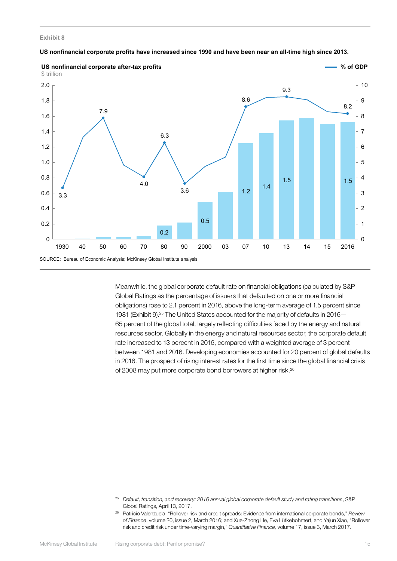**US nonfinancial corporate profits have increased since 1990 and have been near an all-time high since 2013.**



Meanwhile, the global corporate default rate on financial obligations (calculated by S&P Global Ratings as the percentage of issuers that defaulted on one or more financial obligations) rose to 2.1 percent in 2016, above the long-term average of 1.5 percent since 1981 (Exhibit 9).25 The United States accounted for the majority of defaults in 2016— 65 percent of the global total, largely reflecting difficulties faced by the energy and natural resources sector. Globally in the energy and natural resources sector, the corporate default rate increased to 13 percent in 2016, compared with a weighted average of 3 percent between 1981 and 2016. Developing economies accounted for 20 percent of global defaults in 2016. The prospect of rising interest rates for the first time since the global financial crisis of 2008 may put more corporate bond borrowers at higher risk.<sup>26</sup>

<sup>25</sup> *Default, transition, and recovery: 2016 annual global corporate default study and rating transitions*, S&P Global Ratings, April 13, 2017.

<sup>26</sup> Patricio Valenzuela, "Rollover risk and credit spreads: Evidence from international corporate bonds," *Review of Finance*, volume 20, issue 2, March 2016; and Xue-Zhong He, Eva Lütkebohmert, and Yajun Xiao, "Rollover risk and credit risk under time-varying margin," *Quantitative Finance,* volume 17, issue 3, March 2017.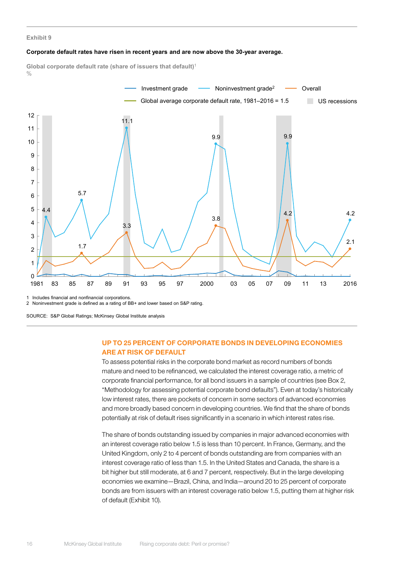#### **Corporate default rates have risen in recent years and are now above the 30-year average.**

**Global corporate default rate (share of issuers that default)**<sup>1</sup>  $0/0$ 



SOURCE: S&P Global Ratings; McKinsey Global Institute analysis

#### UP TO 25 PERCENT OF CORPORATE BONDS IN DEVELOPING ECONOMIES ARE AT RISK OF DEFAULT

To assess potential risks in the corporate bond market as record numbers of bonds mature and need to be refinanced, we calculated the interest coverage ratio, a metric of corporate financial performance, for all bond issuers in a sample of countries (see Box 2, "Methodology for assessing potential corporate bond defaults"). Even at today's historically low interest rates, there are pockets of concern in some sectors of advanced economies and more broadly based concern in developing countries. We find that the share of bonds potentially at risk of default rises significantly in a scenario in which interest rates rise.

The share of bonds outstanding issued by companies in major advanced economies with an interest coverage ratio below 1.5 is less than 10 percent. In France, Germany, and the United Kingdom, only 2 to 4 percent of bonds outstanding are from companies with an interest coverage ratio of less than 1.5. In the United States and Canada, the share is a bit higher but still moderate, at 6 and 7 percent, respectively. But in the large developing economies we examine—Brazil, China, and India—around 20 to 25 percent of corporate bonds are from issuers with an interest coverage ratio below 1.5, putting them at higher risk of default (Exhibit 10).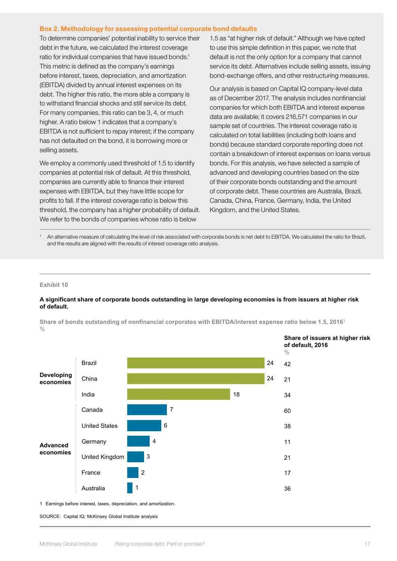#### Box 2. Methodology for assessing potential corporate bond defaults

To determine companies' potential inability to service their debt in the future, we calculated the interest coverage ratio for individual companies that have issued bonds.<sup>1</sup> This metric is defined as the company's earnings before interest, taxes, depreciation, and amortization (EBITDA) divided by annual interest expenses on its debt. The higher this ratio, the more able a company is to withstand financial shocks and still service its debt. For many companies, this ratio can be 3, 4, or much higher. A ratio below 1 indicates that a company's EBITDA is not sufficient to repay interest; if the company has not defaulted on the bond, it is borrowing more or selling assets.

We employ a commonly used threshold of 1.5 to identify companies at potential risk of default. At this threshold, companies are currently able to finance their interest expenses with EBITDA, but they have little scope for profits to fall. If the interest coverage ratio is below this threshold, the company has a higher probability of default. We refer to the bonds of companies whose ratio is below

1.5 as "at higher risk of default." Although we have opted to use this simple definition in this paper, we note that default is not the only option for a company that cannot service its debt. Alternatives include selling assets, issuing bond-exchange offers, and other restructuring measures.

Our analysis is based on Capital IQ company-level data as of December 2017. The analysis includes nonfinancial companies for which both EBITDA and interest expense data are available; it covers 216,571 companies in our sample set of countries. The interest coverage ratio is calculated on total liabilities (including both loans and bonds) because standard corporate reporting does not contain a breakdown of interest expenses on loans versus bonds. For this analysis, we have selected a sample of advanced and developing countries based on the size of their corporate bonds outstanding and the amount of corporate debt. These countries are Australia, Brazil, Canada, China, France, Germany, India, the United Kingdom, and the United States.

An alternative measure of calculating the level of risk associated with corporate bonds is net debt to EBITDA. We calculated the ratio for Brazil, and the results are aligned with the results of interest coverage ratio analysis.

#### **Exhibit 10**

#### **A significant share of corporate bonds outstanding in large developing economies is from issuers at higher risk of default.**

**Share of bonds outstanding of nonfinancial corporates with EBITDA/interest expense ratio below 1.5, 2016**<sup>1</sup>  $\frac{0}{0}$ 



1 Earnings before interest, taxes, depreciation, and amortization.

SOURCE: Capital IQ; McKinsey Global Institute analysis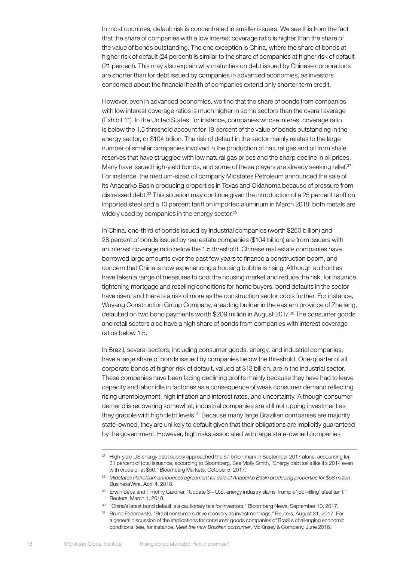In most countries, default risk is concentrated in smaller issuers. We see this from the fact that the share of companies with a low interest coverage ratio is higher than the share of the value of bonds outstanding. The one exception is China, where the share of bonds at higher risk of default (24 percent) is similar to the share of companies at higher risk of default (21 percent). This may also explain why maturities on debt issued by Chinese corporations are shorter than for debt issued by companies in advanced economies, as investors concerned about the financial health of companies extend only shorter-term credit.

However, even in advanced economies, we find that the share of bonds from companies with low interest coverage ratios is much higher in some sectors than the overall average (Exhibit 11). In the United States, for instance, companies whose interest coverage ratio is below the 1.5 threshold account for 18 percent of the value of bonds outstanding in the energy sector, or \$104 billion. The risk of default in the sector mainly relates to the large number of smaller companies involved in the production of natural gas and oil from shale reserves that have struggled with low natural gas prices and the sharp decline in oil prices. Many have issued high-yield bonds, and some of these players are already seeking relief.<sup>27</sup> For instance, the medium-sized oil company Midstates Petroleum announced the sale of its Anadarko Basin producing properties in Texas and Oklahoma because of pressure from distressed debt.<sup>28</sup> This situation may continue given the introduction of a 25 percent tariff on imported steel and a 10 percent tariff on imported aluminum in March 2018; both metals are widely used by companies in the energy sector.<sup>29</sup>

In China, one-third of bonds issued by industrial companies (worth \$250 billion) and 28 percent of bonds issued by real estate companies (\$104 billion) are from issuers with an interest coverage ratio below the 1.5 threshold. Chinese real estate companies have borrowed large amounts over the past few years to finance a construction boom, and concern that China is now experiencing a housing bubble is rising. Although authorities have taken a range of measures to cool the housing market and reduce the risk, for instance tightening mortgage and reselling conditions for home buyers, bond defaults in the sector have risen, and there is a risk of more as the construction sector cools further. For instance, Wuyang Construction Group Company, a leading builder in the eastern province of Zhejiang, defaulted on two bond payments worth \$209 million in August 2017.<sup>30</sup> The consumer goods and retail sectors also have a high share of bonds from companies with interest coverage ratios below 1.5.

In Brazil, several sectors, including consumer goods, energy, and industrial companies, have a large share of bonds issued by companies below the threshold. One-quarter of all corporate bonds at higher risk of default, valued at \$13 billion, are in the industrial sector. These companies have been facing declining profits mainly because they have had to leave capacity and labor idle in factories as a consequence of weak consumer demand reflecting rising unemployment, high inflation and interest rates, and uncertainty. Although consumer demand is recovering somewhat, industrial companies are still not upping investment as they grapple with high debt levels.<sup>31</sup> Because many large Brazilian companies are majority state-owned, they are unlikely to default given that their obligations are implicitly guaranteed by the government. However, high risks associated with large state-owned companies

<sup>&</sup>lt;sup>27</sup> High-yield US energy debt supply approached the \$7 billion mark in September 2017 alone, accounting for 31 percent of total issuance, according to Bloomberg. See Molly Smith, "Energy debt sells like it's 2014 even with crude oil at \$50," Bloomberg Markets, October 5, 2017.

<sup>28</sup> *Midstates Petroleum announces agreement for sale of Anadarko Basin producing properties for \$58 million*, BusinessWire, April 4, 2018.

<sup>&</sup>lt;sup>29</sup> Erwin Seba and Timothy Gardner, "Update 3–U.S. energy industry slams Trump's 'job-killing' steel tariff," Reuters, March 1, 2018.

<sup>&</sup>lt;sup>30</sup> "China's latest bond default is a cautionary tale for investors," Bloomberg News, September 10, 2017.

<sup>&</sup>lt;sup>31</sup> Bruno Federowski, "Brazil consumers drive recovery as investment lags," Reuters, August 31, 2017. For a general discussion of the implications for consumer goods companies of Brazil's challenging economic conditions, see, for instance, *Meet the new Brazilian consumer*, McKinsey & Company, June 2016.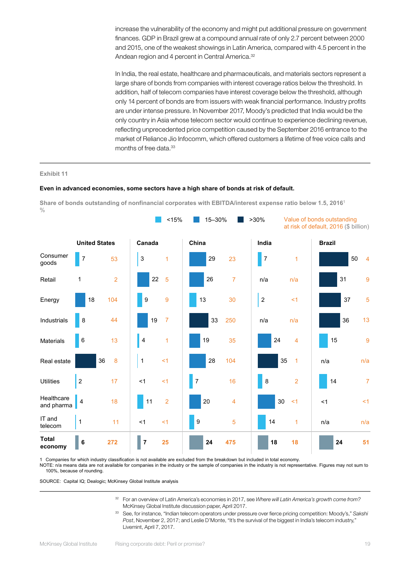increase the vulnerability of the economy and might put additional pressure on government finances. GDP in Brazil grew at a compound annual rate of only 2.7 percent between 2000 and 2015, one of the weakest showings in Latin America, compared with 4.5 percent in the Andean region and 4 percent in Central America.<sup>32</sup>

In India, the real estate, healthcare and pharmaceuticals, and materials sectors represent a large share of bonds from companies with interest coverage ratios below the threshold. In addition, half of telecom companies have interest coverage below the threshold, although only 14 percent of bonds are from issuers with weak financial performance. Industry profits are under intense pressure. In November 2017, Moody's predicted that India would be the only country in Asia whose telecom sector would continue to experience declining revenue, reflecting unprecedented price competition caused by the September 2016 entrance to the market of Reliance Jio Infocomm, which offered customers a lifetime of free voice calls and months of free data.<sup>33</sup>

<15% 15–30% >30% Value of bonds outstanding

#### **Exhibit 11**

#### **Even in advanced economies, some sectors have a high share of bonds at risk of default.**

**Share of bonds outstanding of nonfinancial corporates with EBITDA/interest expense ratio below 1.5, 2016**<sup>1</sup>  $0/2$ 

|                          |                      |                | 50%<br><b>10-00%</b><br><b>POU70</b> |                |                  |        |                |            |        | <b>Value Of DOHUS OUISIAHUIHY</b><br>at risk of default, 2016 (\$ billion) |               |    |                |  |  |
|--------------------------|----------------------|----------------|--------------------------------------|----------------|------------------|--------|----------------|------------|--------|----------------------------------------------------------------------------|---------------|----|----------------|--|--|
|                          | <b>United States</b> |                | Canada                               |                | China            |        |                | India      |        |                                                                            | <b>Brazil</b> |    |                |  |  |
| Consumer<br>goods        | $\overline{7}$       | 53             | $\mathsf 3$                          | 1              |                  | 29     | 23             | 7          |        | 1                                                                          |               | 50 | $\overline{4}$ |  |  |
| Retail                   | 1                    | $\overline{2}$ | 22                                   | $\overline{5}$ |                  | 26     | $\overline{7}$ | n/a        |        | n/a                                                                        |               | 31 | 9              |  |  |
| Energy                   | 18                   | 104            | $\boldsymbol{9}$                     | $\overline{9}$ |                  | 13     | 30             | $\sqrt{2}$ |        | <1                                                                         |               | 37 | 5              |  |  |
| Industrials              | 8                    | 44             | 19                                   | $\overline{7}$ |                  | 33     | 250            | n/a        |        | n/a                                                                        |               | 36 | 13             |  |  |
| Materials                | 6                    | 13             | $\vert 4$                            | 1              |                  | 19     | 35             |            | 24     | 4                                                                          | 15            |    | 9              |  |  |
| Real estate              |                      | 36<br>8        | $\mathbf{1}$                         | <1             |                  | 28     | 104            |            | 35     | $\overline{1}$                                                             | n/a           |    | n/a            |  |  |
| <b>Utilities</b>         | $\overline{2}$       | 17             | < 1                                  | $<$ 1          | 7                |        | 16             | 8          |        | $\overline{2}$                                                             | 14            |    | $\overline{7}$ |  |  |
| Healthcare<br>and pharma | $\overline{4}$       | 18             | 11                                   | $\overline{2}$ |                  | $20\,$ | $\overline{4}$ |            | $30\,$ | $\leq$ 1                                                                   | <1            |    | <1             |  |  |
| IT and<br>telecom        | $\mathbf{1}$         | 11             | < 1                                  | <1             | $\boldsymbol{9}$ |        | 5              |            | 14     | 1                                                                          | n/a           |    | n/a            |  |  |
| <b>Total</b><br>economy  | $\bf 6$              | 272            | $\overline{7}$                       | 25             |                  | 24     | 475            |            | 18     | 18                                                                         |               | 24 | 51             |  |  |

1 Companies for which industry classification is not available are excluded from the breakdown but included in total economy.

NOTE: n/a means data are not available for companies in the industry or the sample of companies in the industry is not representative. Figures may not sum to 100%, because of rounding.

SOURCE: Capital IQ; Dealogic; McKinsey Global Institute analysis

<sup>32</sup> For an overview of Latin America's economies in 2017, see Where will Latin America's growth come from? McKinsey Global Institute discussion paper, April 2017.

<sup>33</sup> See, for instance, "Indian telecom operators under pressure over fierce pricing competition: Moody's," *Sakshi Post*, November 2, 2017; and Leslie D'Monte, "It's the survival of the biggest in India's telecom industry," Livemint, April 7, 2017.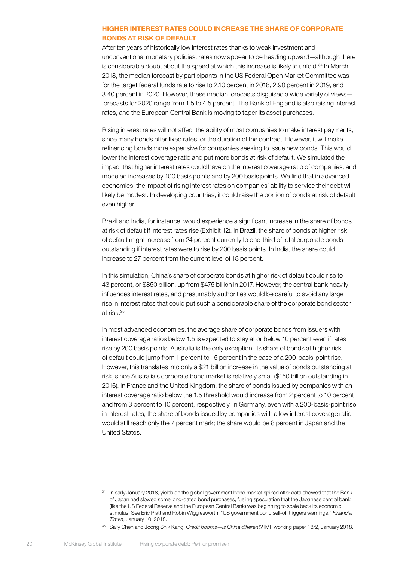#### HIGHER INTEREST RATES COULD INCREASE THE SHARE OF CORPORATE BONDS AT RISK OF DEFAULT

After ten years of historically low interest rates thanks to weak investment and unconventional monetary policies, rates now appear to be heading upward—although there is considerable doubt about the speed at which this increase is likely to unfold.<sup>34</sup> In March 2018, the median forecast by participants in the US Federal Open Market Committee was for the target federal funds rate to rise to 2.10 percent in 2018, 2.90 percent in 2019, and 3.40 percent in 2020. However, these median forecasts disguised a wide variety of views forecasts for 2020 range from 1.5 to 4.5 percent. The Bank of England is also raising interest rates, and the European Central Bank is moving to taper its asset purchases.

Rising interest rates will not affect the ability of most companies to make interest payments, since many bonds offer fixed rates for the duration of the contract. However, it will make refinancing bonds more expensive for companies seeking to issue new bonds. This would lower the interest coverage ratio and put more bonds at risk of default. We simulated the impact that higher interest rates could have on the interest coverage ratio of companies, and modeled increases by 100 basis points and by 200 basis points. We find that in advanced economies, the impact of rising interest rates on companies' ability to service their debt will likely be modest. In developing countries, it could raise the portion of bonds at risk of default even higher.

Brazil and India, for instance, would experience a significant increase in the share of bonds at risk of default if interest rates rise (Exhibit 12). In Brazil, the share of bonds at higher risk of default might increase from 24 percent currently to one-third of total corporate bonds outstanding if interest rates were to rise by 200 basis points. In India, the share could increase to 27 percent from the current level of 18 percent.

In this simulation, China's share of corporate bonds at higher risk of default could rise to 43 percent, or \$850 billion, up from \$475 billion in 2017. However, the central bank heavily influences interest rates, and presumably authorities would be careful to avoid any large rise in interest rates that could put such a considerable share of the corporate bond sector at risk.35

In most advanced economies, the average share of corporate bonds from issuers with interest coverage ratios below 1.5 is expected to stay at or below 10 percent even if rates rise by 200 basis points. Australia is the only exception: its share of bonds at higher risk of default could jump from 1 percent to 15 percent in the case of a 200-basis-point rise. However, this translates into only a \$21 billion increase in the value of bonds outstanding at risk, since Australia's corporate bond market is relatively small (\$150 billion outstanding in 2016). In France and the United Kingdom, the share of bonds issued by companies with an interest coverage ratio below the 1.5 threshold would increase from 2 percent to 10 percent and from 3 percent to 10 percent, respectively. In Germany, even with a 200-basis-point rise in interest rates, the share of bonds issued by companies with a low interest coverage ratio would still reach only the 7 percent mark; the share would be 8 percent in Japan and the United States.

<sup>&</sup>lt;sup>34</sup> In early January 2018, yields on the global government bond market spiked after data showed that the Bank of Japan had slowed some long-dated bond purchases, fueling speculation that the Japanese central bank (like the US Federal Reserve and the European Central Bank) was beginning to scale back its economic stimulus. See Eric Platt and Robin Wigglesworth, "US government bond sell-off triggers warnings," *Financial Times*, January 10, 2018.

<sup>35</sup> Sally Chen and Joong Shik Kang, *Credit booms—is China different?* IMF working paper 18/2, January 2018.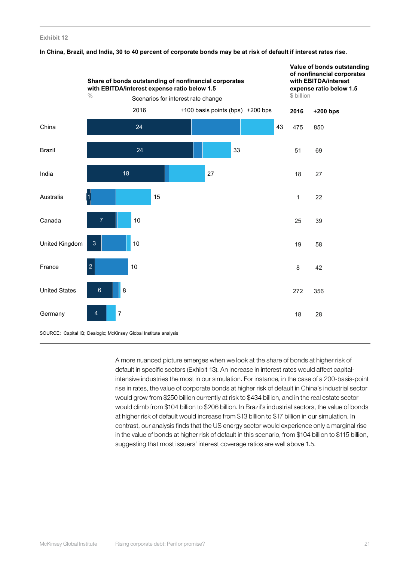

#### **In China, Brazil, and India, 30 to 40 percent of corporate bonds may be at risk of default if interest rates rise.**

A more nuanced picture emerges when we look at the share of bonds at higher risk of default in specific sectors (Exhibit 13). An increase in interest rates would affect capitalintensive industries the most in our simulation. For instance, in the case of a 200-basis-point rise in rates, the value of corporate bonds at higher risk of default in China's industrial sector would grow from \$250 billion currently at risk to \$434 billion, and in the real estate sector would climb from \$104 billion to \$206 billion. In Brazil's industrial sectors, the value of bonds at higher risk of default would increase from \$13 billion to \$17 billion in our simulation. In contrast, our analysis finds that the US energy sector would experience only a marginal rise in the value of bonds at higher risk of default in this scenario, from \$104 billion to \$115 billion, suggesting that most issuers' interest coverage ratios are well above 1.5.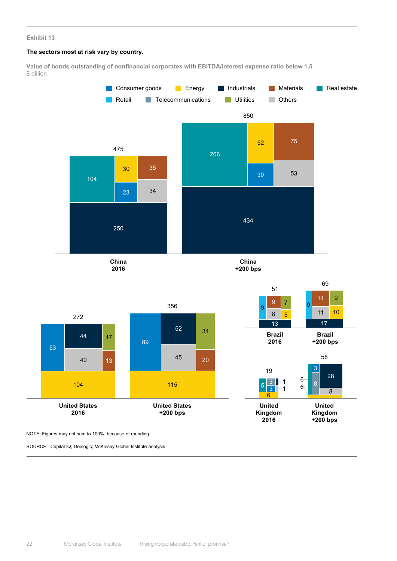#### **The sectors most at risk vary by country.**

**Value of bonds outstanding of nonfinancial corporates with EBITDA/interest expense ratio below 1.5**  \$ billion





NOTE: Figures may not sum to 100%, because of rounding.

SOURCE: Capital IQ; Dealogic; McKinsey Global Institute analysis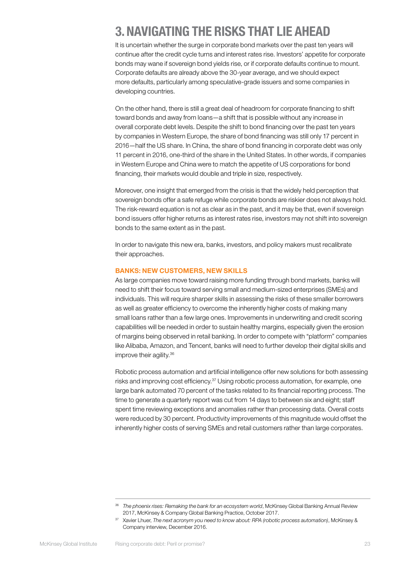### <span id="page-26-0"></span>3. NAVIGATING THE RISKS THAT LIE AHEAD

It is uncertain whether the surge in corporate bond markets over the past ten years will continue after the credit cycle turns and interest rates rise. Investors' appetite for corporate bonds may wane if sovereign bond yields rise, or if corporate defaults continue to mount. Corporate defaults are already above the 30-year average, and we should expect more defaults, particularly among speculative-grade issuers and some companies in developing countries.

On the other hand, there is still a great deal of headroom for corporate financing to shift toward bonds and away from loans—a shift that is possible without any increase in overall corporate debt levels. Despite the shift to bond financing over the past ten years by companies in Western Europe, the share of bond financing was still only 17 percent in 2016—half the US share. In China, the share of bond financing in corporate debt was only 11 percent in 2016, one-third of the share in the United States. In other words, if companies in Western Europe and China were to match the appetite of US corporations for bond financing, their markets would double and triple in size, respectively.

Moreover, one insight that emerged from the crisis is that the widely held perception that sovereign bonds offer a safe refuge while corporate bonds are riskier does not always hold. The risk-reward equation is not as clear as in the past, and it may be that, even if sovereign bond issuers offer higher returns as interest rates rise, investors may not shift into sovereign bonds to the same extent as in the past.

In order to navigate this new era, banks, investors, and policy makers must recalibrate their approaches.

#### BANKS: NEW CUSTOMERS, NEW SKILLS

As large companies move toward raising more funding through bond markets, banks will need to shift their focus toward serving small and medium-sized enterprises (SMEs) and individuals. This will require sharper skills in assessing the risks of these smaller borrowers as well as greater efficiency to overcome the inherently higher costs of making many small loans rather than a few large ones. Improvements in underwriting and credit scoring capabilities will be needed in order to sustain healthy margins, especially given the erosion of margins being observed in retail banking. In order to compete with "platform" companies like Alibaba, Amazon, and Tencent, banks will need to further develop their digital skills and improve their agility.<sup>36</sup>

Robotic process automation and artificial intelligence offer new solutions for both assessing risks and improving cost efficiency.<sup>37</sup> Using robotic process automation, for example, one large bank automated 70 percent of the tasks related to its financial reporting process. The time to generate a quarterly report was cut from 14 days to between six and eight; staff spent time reviewing exceptions and anomalies rather than processing data. Overall costs were reduced by 30 percent. Productivity improvements of this magnitude would offset the inherently higher costs of serving SMEs and retail customers rather than large corporates.

<sup>36</sup> *The phoenix rises: Remaking the bank for an ecosystem world*, McKinsey Global Banking Annual Review 2017, McKinsey & Company Global Banking Practice, October 2017.

<sup>37</sup> Xavier Lhuer, *The next acronym you need to know about: RPA (robotic process automation)*, McKinsey & Company interview, December 2016.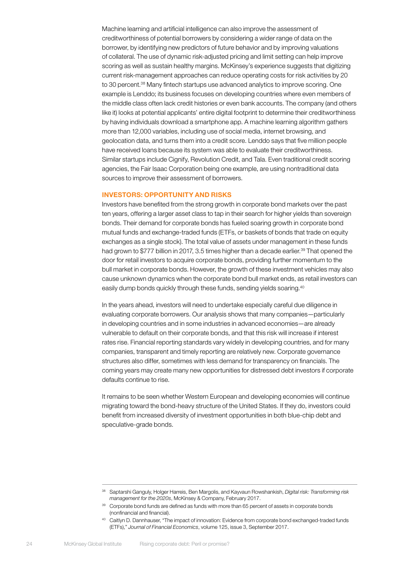Machine learning and artificial intelligence can also improve the assessment of creditworthiness of potential borrowers by considering a wider range of data on the borrower, by identifying new predictors of future behavior and by improving valuations of collateral. The use of dynamic risk-adjusted pricing and limit setting can help improve scoring as well as sustain healthy margins. McKinsey's experience suggests that digitizing current risk-management approaches can reduce operating costs for risk activities by 20 to 30 percent.<sup>38</sup> Many fintech startups use advanced analytics to improve scoring. One example is Lenddo; its business focuses on developing countries where even members of the middle class often lack credit histories or even bank accounts. The company (and others like it) looks at potential applicants' entire digital footprint to determine their creditworthiness by having individuals download a smartphone app. A machine learning algorithm gathers more than 12,000 variables, including use of social media, internet browsing, and geolocation data, and turns them into a credit score. Lenddo says that five million people have received loans because its system was able to evaluate their creditworthiness. Similar startups include Cignify, Revolution Credit, and Tala. Even traditional credit scoring agencies, the Fair Isaac Corporation being one example, are using nontraditional data sources to improve their assessment of borrowers.

#### INVESTORS: OPPORTUNITY AND RISKS

Investors have benefited from the strong growth in corporate bond markets over the past ten years, offering a larger asset class to tap in their search for higher yields than sovereign bonds. Their demand for corporate bonds has fueled soaring growth in corporate bond mutual funds and exchange-traded funds (ETFs, or baskets of bonds that trade on equity exchanges as a single stock). The total value of assets under management in these funds had grown to \$777 billion in 2017, 3.5 times higher than a decade earlier.<sup>39</sup> That opened the door for retail investors to acquire corporate bonds, providing further momentum to the bull market in corporate bonds. However, the growth of these investment vehicles may also cause unknown dynamics when the corporate bond bull market ends, as retail investors can easily dump bonds quickly through these funds, sending yields soaring.<sup>40</sup>

In the years ahead, investors will need to undertake especially careful due diligence in evaluating corporate borrowers. Our analysis shows that many companies—particularly in developing countries and in some industries in advanced economies—are already vulnerable to default on their corporate bonds, and that this risk will increase if interest rates rise. Financial reporting standards vary widely in developing countries, and for many companies, transparent and timely reporting are relatively new. Corporate governance structures also differ, sometimes with less demand for transparency on financials. The coming years may create many new opportunities for distressed debt investors if corporate defaults continue to rise.

It remains to be seen whether Western European and developing economies will continue migrating toward the bond-heavy structure of the United States. If they do, investors could benefit from increased diversity of investment opportunities in both blue-chip debt and speculative-grade bonds.

<sup>38</sup> Saptarshi Ganguly, [Holger Harreis,](https://www.mckinsey.com/our-people/holger-harreis) Ben Margolis, and [Kayvaun Rowshankish](https://www.mckinsey.com/our-people/kayvaun-rowshankish), *Digital risk: Transforming risk management for the 2020s*, McKinsey & Company, February 2017.

<sup>39</sup> Corporate bond funds are defined as funds with more than 65 percent of assets in corporate bonds (nonfinancial and financial).

<sup>40</sup> Caitlyn D. Dannhauser, "The impact of innovation: Evidence from corporate bond exchanged-traded funds (ETFs)," *Journal of Financial Economics*, volume 125, issue 3, September 2017.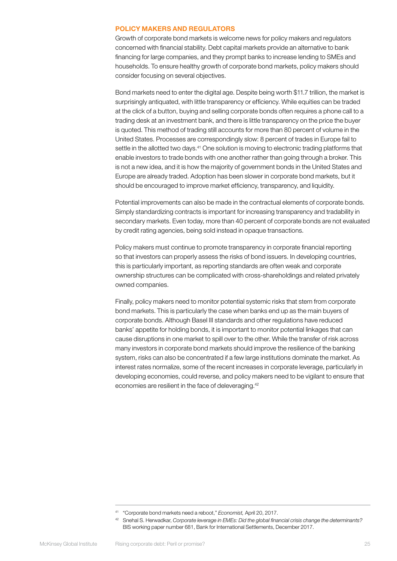#### POLICY MAKERS AND REGULATORS

Growth of corporate bond markets is welcome news for policy makers and regulators concerned with financial stability. Debt capital markets provide an alternative to bank financing for large companies, and they prompt banks to increase lending to SMEs and households. To ensure healthy growth of corporate bond markets, policy makers should consider focusing on several objectives.

Bond markets need to enter the digital age. Despite being worth \$11.7 trillion, the market is surprisingly antiquated, with little transparency or efficiency. While equities can be traded at the click of a button, buying and selling corporate bonds often requires a phone call to a trading desk at an investment bank, and there is little transparency on the price the buyer is quoted. This method of trading still accounts for more than 80 percent of volume in the United States. Processes are correspondingly slow: 8 percent of trades in Europe fail to settle in the allotted two days.<sup>41</sup> One solution is moving to electronic trading platforms that enable investors to trade bonds with one another rather than going through a broker. This is not a new idea, and it is how the majority of government bonds in the United States and Europe are already traded. Adoption has been slower in corporate bond markets, but it should be encouraged to improve market efficiency, transparency, and liquidity.

Potential improvements can also be made in the contractual elements of corporate bonds. Simply standardizing contracts is important for increasing transparency and tradability in secondary markets. Even today, more than 40 percent of corporate bonds are not evaluated by credit rating agencies, being sold instead in opaque transactions.

Policy makers must continue to promote transparency in corporate financial reporting so that investors can properly assess the risks of bond issuers. In developing countries, this is particularly important, as reporting standards are often weak and corporate ownership structures can be complicated with cross-shareholdings and related privately owned companies.

Finally, policy makers need to monitor potential systemic risks that stem from corporate bond markets. This is particularly the case when banks end up as the main buyers of corporate bonds. Although Basel III standards and other regulations have reduced banks' appetite for holding bonds, it is important to monitor potential linkages that can cause disruptions in one market to spill over to the other. While the transfer of risk across many investors in corporate bond markets should improve the resilience of the banking system, risks can also be concentrated if a few large institutions dominate the market. As interest rates normalize, some of the recent increases in corporate leverage, particularly in developing economies, could reverse, and policy makers need to be vigilant to ensure that economies are resilient in the face of deleveraging.<sup>42</sup>

<sup>41</sup> "Corporate bond markets need a reboot," *Economist,* April 20, 2017.

<sup>42</sup> Snehal S. Herwadkar, *Corporate leverage in EMEs: Did the global financial crisis change the determinants?* BIS working paper number 681, Bank for International Settlements, December 2017.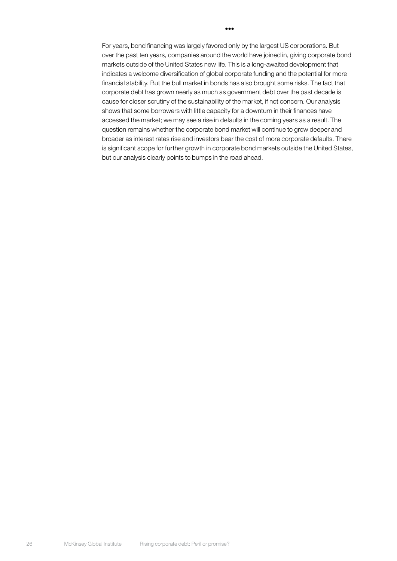For years, bond financing was largely favored only by the largest US corporations. But over the past ten years, companies around the world have joined in, giving corporate bond markets outside of the United States new life. This is a long-awaited development that indicates a welcome diversification of global corporate funding and the potential for more financial stability. But the bull market in bonds has also brought some risks. The fact that corporate debt has grown nearly as much as government debt over the past decade is cause for closer scrutiny of the sustainability of the market, if not concern. Our analysis shows that some borrowers with little capacity for a downturn in their finances have accessed the market; we may see a rise in defaults in the coming years as a result. The question remains whether the corporate bond market will continue to grow deeper and broader as interest rates rise and investors bear the cost of more corporate defaults. There is significant scope for further growth in corporate bond markets outside the United States, but our analysis clearly points to bumps in the road ahead.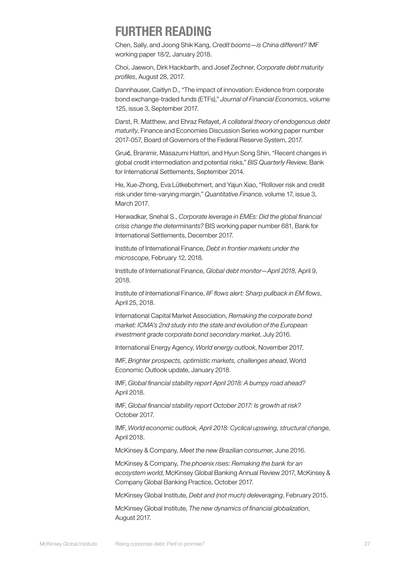### <span id="page-30-0"></span>FURTHER READING

Chen, Sally, and Joong Shik Kang, *Credit booms—is China different?* IMF working paper 18/2, January 2018.

Choi, Jaewon, Dirk Hackbarth, and Josef Zechner, *Corporate debt maturity profiles*, August 28, 2017.

Dannhauser, Caitlyn D., "The impact of innovation: Evidence from corporate bond exchange-traded funds (ETFs)," *Journal of Financial Economics*, volume 125, issue 3, September 2017.

Darst, R. Matthew, and Ehraz Refayet, *A collateral theory of endogenous debt maturity*, Finance and Economies Discussion Series working paper number 2017-057, Board of Governors of the Federal Reserve System, 2017.

Gruić, Branimir, Masazumi Hattori, and Hyun Song Shin, "Recent changes in global credit intermediation and potential risks," *BIS Quarterly Review*, Bank for International Settlements, September 2014.

He, Xue-Zhong, Eva Lütkebohmert, and Yajun Xiao, "Rollover risk and credit risk under time-varying margin," *Quantitative Finance*, volume 17, issue 3, March 2017.

Herwadkar, Snehal S., *Corporate leverage in EMEs: Did the global financial crisis change the determinants?* BIS working paper number 681, Bank for International Settlements, December 2017.

Institute of International Finance, *Debt in frontier markets under the microscope*, February 12, 2018.

Institute of International Finance, *Global debt monitor—April 2018*, April 9, 2018.

Institute of International Finance, *IIF flows alert: Sharp pullback in EM flows*, April 25, 2018.

International Capital Market Association, *Remaking the corporate bond market: ICMA's 2nd study into the state and evolution of the European investment grade corporate bond secondary market*, July 2016.

International Energy Agency, *World energy outlook*, November 2017.

IMF, *Brighter prospects, optimistic markets, challenges ahead*, World Economic Outlook update, January 2018.

IMF, *Global financial stability report April 2018: A bumpy road ahead?* April 2018.

IMF, *Global financial stability report October 2017: Is growth at risk?* October 2017.

IMF, *World economic outlook, April 2018: Cyclical upswing, structural change*, April 2018.

McKinsey & Company, *Meet the new Brazilian consumer*, June 2016.

McKinsey & Company, *The phoenix rises: Remaking the bank for an ecosystem world*, McKinsey Global Banking Annual Review 2017, McKinsey & Company Global Banking Practice, October 2017.

McKinsey Global Institute, *Debt and (not much) deleveraging*, February 2015.

McKinsey Global Institute, *The new dynamics of financial globalization*, August 2017.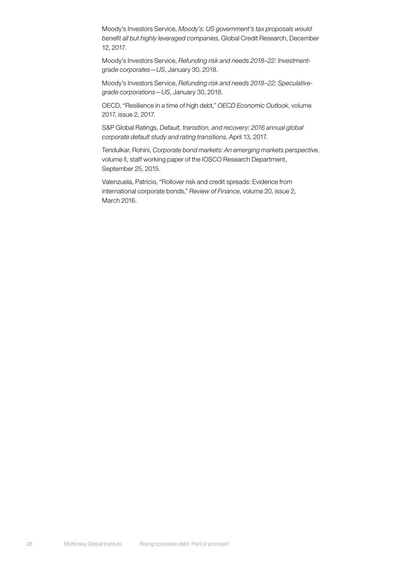Moody's Investors Service, *Moody's: US government's tax proposals would benefit all but highly leveraged companies*, Global Credit Research, December 12, 2017.

Moody's Investors Service, *Refunding risk and needs 2018–22: Investmentgrade corporates—US*, January 30, 2018.

Moody's Investors Service, *Refunding risk and needs 2018–22: Speculativegrade corporations—US*, January 30, 2018.

OECD, "Resilience in a time of high debt," *OECD Economic Outlook*, volume 2017, issue 2, 2017.

S&P Global Ratings, *Default, transition, and recovery: 2016 annual global corporate default study and rating transitions*, April 13, 2017.

Tendulkar, Rohini, *Corporate bond markets: An emerging markets perspective*, volume II, staff working paper of the IOSCO Research Department, September 25, 2015.

Valenzuela, Patricio, "Rollover risk and credit spreads: Evidence from international corporate bonds," *Review of Finance*, volume 20, issue 2, March 2016.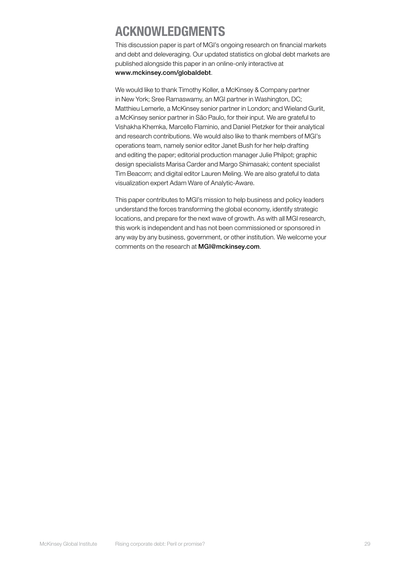### <span id="page-32-0"></span>ACKNOWLEDGMENTS

This discussion paper is part of MGI's ongoing research on financial markets and debt and deleveraging. Our updated statistics on global debt markets are published alongside this paper in an online-only interactive at [www.mckinsey.com/globaldebt](http://www.mckinsey.com/globaldebt).

We would like to thank Timothy Koller, a McKinsey & Company partner in New York; Sree Ramaswamy, an MGI partner in Washington, DC; Matthieu Lemerle, a McKinsey senior partner in London; and Wieland Gurlit, a McKinsey senior partner in São Paulo, for their input. We are grateful to Vishakha Khemka, Marcello Flaminio, and Daniel Pietzker for their analytical and research contributions. We would also like to thank members of MGI's operations team, namely senior editor Janet Bush for her help drafting and editing the paper; editorial production manager Julie Philpot; graphic design specialists Marisa Carder and Margo Shimasaki; content specialist Tim Beacom; and digital editor Lauren Meling. We are also grateful to data visualization expert Adam Ware of Analytic-Aware.

This paper contributes to MGI's mission to help business and policy leaders understand the forces transforming the global economy, identify strategic locations, and prepare for the next wave of growth. As with all MGI research, this work is independent and has not been commissioned or sponsored in any way by any business, government, or other institution. We welcome your comments on the research at [MGI@mckinsey.com](mailto:MGI%40mckinsey.com?subject=).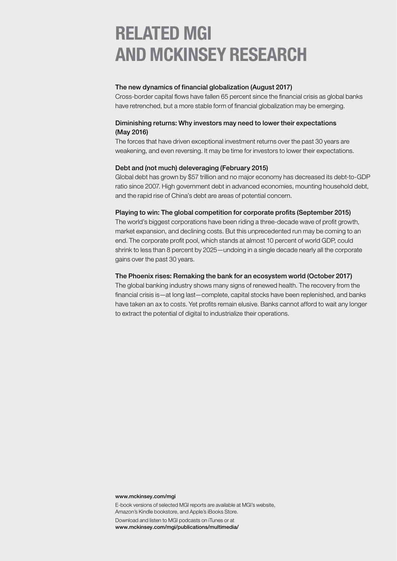# RELATED MGI AND MCKINSEY RESEARCH

#### [The new dynamics of financial globalization \(August 2017\)](https://www.mckinsey.com/industries/financial-services/our-insights/the-new-dynamics-of-financial-globalization)

Cross-border capital flows have fallen 65 percent since the financial crisis as global banks have retrenched, but a more stable form of financial globalization may be emerging.

#### [Diminishing returns: Why investors may need to lower their expectations](https://www.mckinsey.com/industries/private-equity-and-principal-investors/our-insights/why-investors-may-need-to-lower-their-sights)  [\(May 2016\)](https://www.mckinsey.com/industries/private-equity-and-principal-investors/our-insights/why-investors-may-need-to-lower-their-sights)

The forces that have driven exceptional investment returns over the past 30 years are weakening, and even reversing. It may be time for investors to lower their expectations.

#### [Debt and \(not much\) deleveraging \(February 2015\)](https://www.mckinsey.com/featured-insights/employment-and-growth/debt-and-not-much-deleveraging)

Global debt has grown by \$57 trillion and no major economy has decreased its debt-to-GDP ratio since 2007. High government debt in advanced economies, mounting household debt, and the rapid rise of China's debt are areas of potential concern.

#### [Playing to win: The global competition for corporate profits \(September 2015\)](https://www.mckinsey.com/business-functions/strategy-and-corporate-finance/our-insights/the-new-global-competition-for-corporate-profits)

The world's biggest corporations have been riding a three-decade wave of profit growth, market expansion, and declining costs. But this unprecedented run may be coming to an end. The corporate profit pool, which stands at almost 10 percent of world GDP, could shrink to less than 8 percent by 2025—undoing in a single decade nearly all the corporate gains over the past 30 years.

#### [The Phoenix rises: Remaking the bank for an ecosystem world \(October 2017\)](https://www.mckinsey.com/industries/financial-services/our-insights/remaking-the-bank-for-an-ecosystem-world)

The global banking industry shows many signs of renewed health. The recovery from the financial crisis is—at long last—complete, capital stocks have been replenished, and banks have taken an ax to costs. Yet profits remain elusive. Banks cannot afford to wait any longer to extract the potential of digital to industrialize their operations.

[www.mckinsey.com/mgi](http://www.mckinsey.com/mgi )

E-book versions of selected MGI reports are available at MGI's website, Amazon's Kindle bookstore, and Apple's iBooks Store. Download and listen to MGI podcasts on iTunes or at [www.mckinsey.com/mgi/publications/multimedia/](http://www.mckinsey.com/mgi/publications/multimedia/)